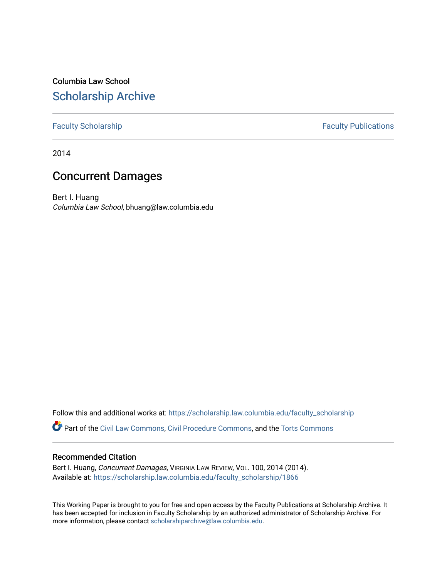Columbia Law School [Scholarship Archive](https://scholarship.law.columbia.edu/) 

# [Faculty Scholarship](https://scholarship.law.columbia.edu/faculty_scholarship) **Faculty Publications**

2014

# Concurrent Damages

Bert I. Huang Columbia Law School, bhuang@law.columbia.edu

Follow this and additional works at: [https://scholarship.law.columbia.edu/faculty\\_scholarship](https://scholarship.law.columbia.edu/faculty_scholarship?utm_source=scholarship.law.columbia.edu%2Ffaculty_scholarship%2F1866&utm_medium=PDF&utm_campaign=PDFCoverPages)

Part of the [Civil Law Commons](http://network.bepress.com/hgg/discipline/835?utm_source=scholarship.law.columbia.edu%2Ffaculty_scholarship%2F1866&utm_medium=PDF&utm_campaign=PDFCoverPages), [Civil Procedure Commons,](http://network.bepress.com/hgg/discipline/584?utm_source=scholarship.law.columbia.edu%2Ffaculty_scholarship%2F1866&utm_medium=PDF&utm_campaign=PDFCoverPages) and the Torts Commons

# Recommended Citation

Bert I. Huang, Concurrent Damages, VIRGINIA LAW REVIEW, VOL. 100, 2014 (2014). Available at: [https://scholarship.law.columbia.edu/faculty\\_scholarship/1866](https://scholarship.law.columbia.edu/faculty_scholarship/1866?utm_source=scholarship.law.columbia.edu%2Ffaculty_scholarship%2F1866&utm_medium=PDF&utm_campaign=PDFCoverPages)

This Working Paper is brought to you for free and open access by the Faculty Publications at Scholarship Archive. It has been accepted for inclusion in Faculty Scholarship by an authorized administrator of Scholarship Archive. For more information, please contact [scholarshiparchive@law.columbia.edu.](mailto:scholarshiparchive@law.columbia.edu)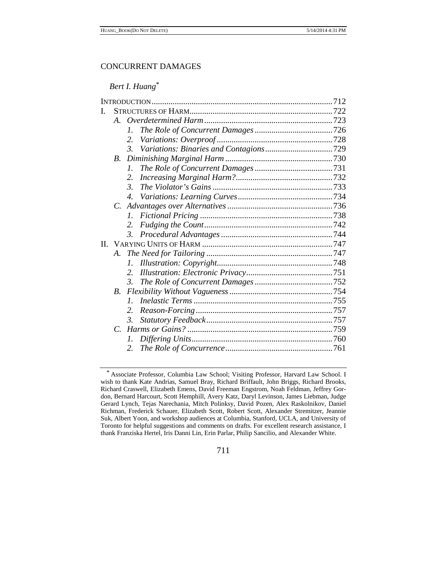# CONCURRENT DAMAGES

# *Bert I. Huang*\*

| L |             |                  |  |  |  |  |
|---|-------------|------------------|--|--|--|--|
|   |             |                  |  |  |  |  |
|   |             | $\mathcal{I}$ .  |  |  |  |  |
|   |             | 2.               |  |  |  |  |
|   |             | 3.               |  |  |  |  |
|   | $B_{\cdot}$ |                  |  |  |  |  |
|   |             | $\mathcal{I}$ .  |  |  |  |  |
|   |             | 2.               |  |  |  |  |
|   |             | $\mathfrak{Z}$ . |  |  |  |  |
|   |             | $\overline{4}$ . |  |  |  |  |
|   | $C_{\cdot}$ |                  |  |  |  |  |
|   |             | $l_{\cdot}$      |  |  |  |  |
|   |             | 2.               |  |  |  |  |
|   |             |                  |  |  |  |  |
|   |             |                  |  |  |  |  |
|   | A.          |                  |  |  |  |  |
|   |             | $l_{\cdot}$      |  |  |  |  |
|   |             | 2.               |  |  |  |  |
|   |             | 3.               |  |  |  |  |
|   | <i>B</i> .  |                  |  |  |  |  |
|   |             | $\mathcal{I}$ .  |  |  |  |  |
|   |             | 2.               |  |  |  |  |
|   |             | $\mathfrak{Z}$ . |  |  |  |  |
|   |             |                  |  |  |  |  |
|   |             | Ι.               |  |  |  |  |
|   |             | 2.               |  |  |  |  |
|   |             |                  |  |  |  |  |

711

<sup>\*</sup> Associate Professor, Columbia Law School; Visiting Professor, Harvard Law School. I wish to thank Kate Andrias, Samuel Bray, Richard Briffault, John Briggs, Richard Brooks, Richard Craswell, Elizabeth Emens, David Freeman Engstrom, Noah Feldman, Jeffrey Gordon, Bernard Harcourt, Scott Hemphill, Avery Katz, Daryl Levinson, James Liebman, Judge Gerard Lynch, Tejas Narechania, Mitch Polinksy, David Pozen, Alex Raskolnikov, Daniel Richman, Frederick Schauer, Elizabeth Scott, Robert Scott, Alexander Stremitzer, Jeannie Suk, Albert Yoon, and workshop audiences at Columbia, Stanford, UCLA, and University of Toronto for helpful suggestions and comments on drafts. For excellent research assistance, I thank Franziska Hertel, Iris Danni Lin, Erin Parlar, Philip Sancilio, and Alexander White.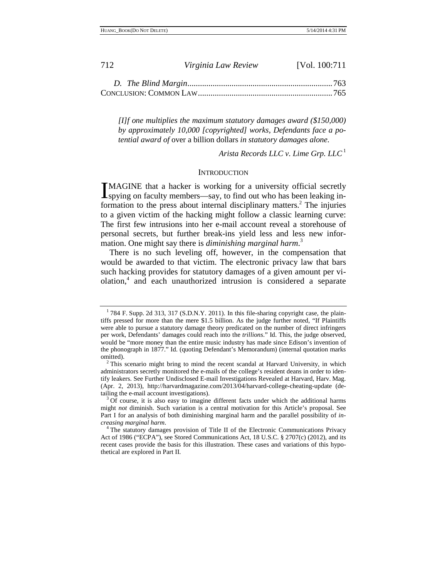| 712 | Virginia Law Review | [Vol. 100:711] |
|-----|---------------------|----------------|
|     |                     |                |
|     |                     |                |

*[I]f one multiplies the maximum statutory damages award (\$150,000) by approximately 10,000 [copyrighted] works, Defendants face a potential award of* over a billion dollars *in statutory damages alone.* 

*Arista Records LLC v. Lime Grp. LLC*<sup>1</sup>

### **INTRODUCTION**

MAGINE that a hacker is working for a university official secretly IMAGINE that a hacker is working for a university official secretly<br>spying on faculty members—say, to find out who has been leaking information to the press about internal disciplinary matters.<sup>2</sup> The injuries to a given victim of the hacking might follow a classic learning curve: The first few intrusions into her e-mail account reveal a storehouse of personal secrets, but further break-ins yield less and less new information. One might say there is *diminishing marginal harm*. 3

There is no such leveling off, however, in the compensation that would be awarded to that victim. The electronic privacy law that bars such hacking provides for statutory damages of a given amount per violation,<sup>4</sup> and each unauthorized intrusion is considered a separate

 $1784$  F. Supp. 2d 313, 317 (S.D.N.Y. 2011). In this file-sharing copyright case, the plaintiffs pressed for more than the mere \$1.5 billion. As the judge further noted, "If Plaintiffs were able to pursue a statutory damage theory predicated on the number of direct infringers per work, Defendants' damages could reach into the *trillions*." Id. This, the judge observed, would be "more money than the entire music industry has made since Edison's invention of the phonograph in 1877." Id. (quoting Defendant's Memorandum) (internal quotation marks

<sup>&</sup>lt;sup>2</sup> This scenario might bring to mind the recent scandal at Harvard University, in which administrators secretly monitored the e-mails of the college's resident deans in order to identify leakers. See Further Undisclosed E-mail Investigations Revealed at Harvard, Harv. Mag. (Apr. 2, 2013), http://harvardmagazine.com/2013/04/harvard-college-cheating-update (detailing the e-mail account investigations).<br> $3 \text{ Of course, it is also easy to imagine different facts under which the additional harms.}$ 

might *not* diminish. Such variation is a central motivation for this Article's proposal. See Part I for an analysis of both diminishing marginal harm and the parallel possibility of *increasing marginal harm*. 4 The statutory damages provision of Title II of the Electronic Communications Privacy

Act of 1986 ("ECPA"), see Stored Communications Act, 18 U.S.C. § 2707(c) (2012), and its recent cases provide the basis for this illustration. These cases and variations of this hypothetical are explored in Part II.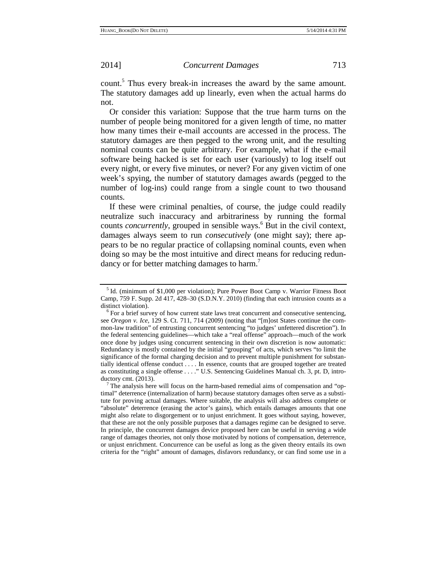count.<sup>5</sup> Thus every break-in increases the award by the same amount. The statutory damages add up linearly, even when the actual harms do not.

Or consider this variation: Suppose that the true harm turns on the number of people being monitored for a given length of time, no matter how many times their e-mail accounts are accessed in the process. The statutory damages are then pegged to the wrong unit, and the resulting nominal counts can be quite arbitrary. For example, what if the e-mail software being hacked is set for each user (variously) to log itself out every night, or every five minutes, or never? For any given victim of one week's spying, the number of statutory damages awards (pegged to the number of log-ins) could range from a single count to two thousand counts.

If these were criminal penalties, of course, the judge could readily neutralize such inaccuracy and arbitrariness by running the formal counts *concurrently*, grouped in sensible ways.<sup>6</sup> But in the civil context, damages always seem to run *consecutively* (one might say); there appears to be no regular practice of collapsing nominal counts, even when doing so may be the most intuitive and direct means for reducing redundancy or for better matching damages to harm.<sup>7</sup>

<sup>&</sup>lt;sup>5</sup> Id. (minimum of \$1,000 per violation); Pure Power Boot Camp v. Warrior Fitness Boot Camp, 759 F. Supp. 2d 417, 428–30 (S.D.N.Y. 2010) (finding that each intrusion counts as a

distinct violation).<br><sup>6</sup> For a brief survey of how current state laws treat concurrent and consecutive sentencing, see *Oregon v. Ice*, 129 S. Ct. 711, 714 (2009) (noting that "[m]ost States continue the common-law tradition" of entrusting concurrent sentencing "to judges' unfettered discretion"). In the federal sentencing guidelines—which take a "real offense" approach—much of the work once done by judges using concurrent sentencing in their own discretion is now automatic: Redundancy is mostly contained by the initial "grouping" of acts, which serves "to limit the significance of the formal charging decision and to prevent multiple punishment for substantially identical offense conduct . . . . In essence, counts that are grouped together are treated as constituting a single offense . . . ." U.S. Sentencing Guidelines Manual ch. 3, pt. D, introductory cmt. (2013).  $\frac{7}{1}$  The analysis here will focus on the harm-based remedial aims of compensation and "op-

timal" deterrence (internalization of harm) because statutory damages often serve as a substitute for proving actual damages. Where suitable, the analysis will also address complete or "absolute" deterrence (erasing the actor's gains), which entails damages amounts that one might also relate to disgorgement or to unjust enrichment. It goes without saying, however, that these are not the only possible purposes that a damages regime can be designed to serve. In principle, the concurrent damages device proposed here can be useful in serving a wide range of damages theories, not only those motivated by notions of compensation, deterrence, or unjust enrichment. Concurrence can be useful as long as the given theory entails its own criteria for the "right" amount of damages, disfavors redundancy, or can find some use in a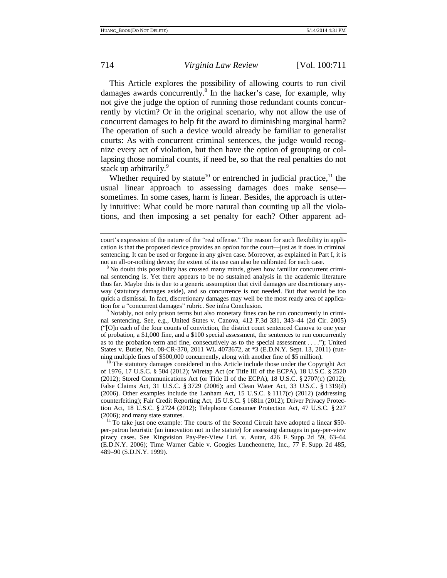This Article explores the possibility of allowing courts to run civil damages awards concurrently.<sup>8</sup> In the hacker's case, for example, why not give the judge the option of running those redundant counts concurrently by victim? Or in the original scenario, why not allow the use of concurrent damages to help fit the award to diminishing marginal harm? The operation of such a device would already be familiar to generalist courts: As with concurrent criminal sentences, the judge would recognize every act of violation, but then have the option of grouping or collapsing those nominal counts, if need be, so that the real penalties do not stack up arbitrarily.<sup>9</sup>

Whether required by statute<sup>10</sup> or entrenched in judicial practice,<sup>11</sup> the usual linear approach to assessing damages does make sense sometimes. In some cases, harm *is* linear. Besides, the approach is utterly intuitive: What could be more natural than counting up all the violations, and then imposing a set penalty for each? Other apparent ad-

nal sentencing. See, e.g., United States v. Canova, 412 F.3d 331, 343–44 (2d Cir. 2005) ("[O]n each of the four counts of conviction, the district court sentenced Canova to one year of probation, a \$1,000 fine, and a \$100 special assessment, the sentences to run concurrently as to the probation term and fine, consecutively as to the special assessment . . . ."); United States v. Butler, No. 08-CR-370, 2011 WL 4073672, at \*3 (E.D.N.Y. Sept. 13, 2011) (running multiple fines of \$500,000 concurrently, along with another fine of \$5 million).

 $10<sup>10</sup>$  The statutory damages considered in this Article include those under the Copyright Act of 1976, 17 U.S.C. § 504 (2012); Wiretap Act (or Title III of the ECPA), 18 U.S.C. § 2520 (2012); Stored Communications Act (or Title II of the ECPA), 18 U.S.C.  $\S 2707(c)$  (2012); False Claims Act, 31 U.S.C. § 3729 (2006); and Clean Water Act, 33 U.S.C. § 1319(d) (2006). Other examples include the Lanham Act, 15 U.S.C. § 1117(c) (2012) (addressing counterfeiting); Fair Credit Reporting Act, 15 U.S.C. § 1681n (2012); Driver Privacy Protection Act, 18 U.S.C. § 2724 (2012); Telephone Consumer Protection Act, 47 U.S.C. § 227 (2006); and many state statutes.<br><sup>11</sup> To take just one example: The courts of the Second Circuit have adopted a linear \$50-

per-patron heuristic (an innovation not in the statute) for assessing damages in pay-per-view piracy cases. See Kingvision Pay-Per-View Ltd. v. Autar, 426 F. Supp. 2d 59, 63–64 (E.D.N.Y. 2006); Time Warner Cable v. Googies Luncheonette, Inc., 77 F. Supp. 2d 485, 489–90 (S.D.N.Y. 1999).

court's expression of the nature of the "real offense." The reason for such flexibility in application is that the proposed device provides an *option* for the court—just as it does in criminal sentencing. It can be used or forgone in any given case. Moreover, as explained in Part I, it is

not an all-or-nothing device; the extent of its use can also be calibrated for each case.<br><sup>8</sup> No doubt this possibility has crossed many minds, given how familiar concurrent criminal sentencing is. Yet there appears to be no sustained analysis in the academic literature thus far. Maybe this is due to a generic assumption that civil damages are discretionary anyway (statutory damages aside), and so concurrence is not needed. But that would be too quick a dismissal. In fact, discretionary damages may well be the most ready area of application for a "concurrent damages" rubric. See infra Conclusion.<br><sup>9</sup> Notably, not only prison terms but also monetary fines can be run concurrently in crimi-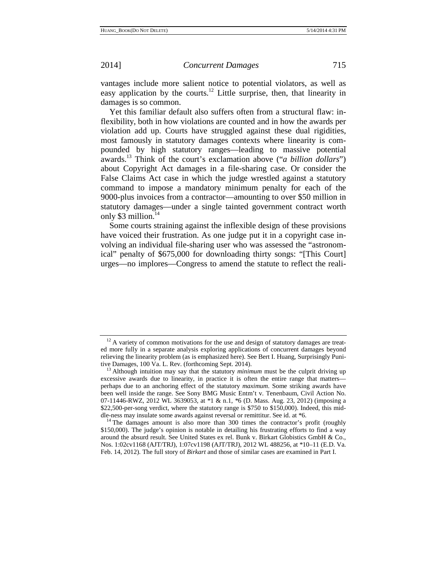vantages include more salient notice to potential violators, as well as easy application by the courts.<sup>12</sup> Little surprise, then, that linearity in damages is so common.

Yet this familiar default also suffers often from a structural flaw: inflexibility, both in how violations are counted and in how the awards per violation add up. Courts have struggled against these dual rigidities, most famously in statutory damages contexts where linearity is compounded by high statutory ranges—leading to massive potential awards.13 Think of the court's exclamation above ("*a billion dollars*") about Copyright Act damages in a file-sharing case. Or consider the False Claims Act case in which the judge wrestled against a statutory command to impose a mandatory minimum penalty for each of the 9000-plus invoices from a contractor—amounting to over \$50 million in statutory damages—under a single tainted government contract worth only \$3 million. $14$ 

Some courts straining against the inflexible design of these provisions have voiced their frustration. As one judge put it in a copyright case involving an individual file-sharing user who was assessed the "astronomical" penalty of \$675,000 for downloading thirty songs: "[This Court] urges—no implores—Congress to amend the statute to reflect the reali-

 $12$  A variety of common motivations for the use and design of statutory damages are treated more fully in a separate analysis exploring applications of concurrent damages beyond relieving the linearity problem (as is emphasized here). See Bert I. Huang, Surprisingly Punitive Damages, 100 Va. L. Rev. (forthcoming Sept. 2014). 13 Although intuition may say that the statutory *minimum* must be the culprit driving up

excessive awards due to linearity, in practice it is often the entire range that matters perhaps due to an anchoring effect of the statutory *maximum*. Some striking awards have been well inside the range. See Sony BMG Music Entm't v. Tenenbaum, Civil Action No. 07-11446-RWZ, 2012 WL 3639053, at \*1 & n.1, \*6 (D. Mass. Aug. 23, 2012) (imposing a \$22,500-per-song verdict, where the statutory range is \$750 to \$150,000). Indeed, this middle-ness may insulate some awards against reversal or remittitur. See id. at  $*6$ .<br><sup>14</sup> The damages amount is also more than 300 times the contractor's profit (roughly

<sup>\$150,000).</sup> The judge's opinion is notable in detailing his frustrating efforts to find a way around the absurd result. See United States ex rel. Bunk v. Birkart Globistics GmbH & Co., Nos. 1:02cv1168 (AJT/TRJ), 1:07cv1198 (AJT/TRJ), 2012 WL 488256, at \*10–11 (E.D. Va. Feb. 14, 2012). The full story of *Birkart* and those of similar cases are examined in Part I.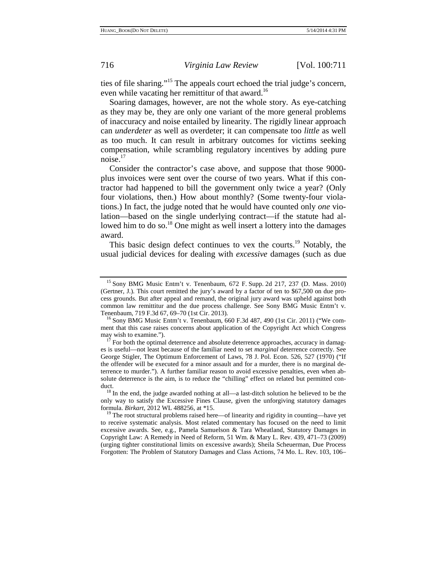ties of file sharing."15 The appeals court echoed the trial judge's concern, even while vacating her remittitur of that award.<sup>16</sup>

Soaring damages, however, are not the whole story. As eye-catching as they may be, they are only one variant of the more general problems of inaccuracy and noise entailed by linearity. The rigidly linear approach can *underdeter* as well as overdeter; it can compensate too *little* as well as too much. It can result in arbitrary outcomes for victims seeking compensation, while scrambling regulatory incentives by adding pure noise.<sup>17</sup>

Consider the contractor's case above, and suppose that those 9000 plus invoices were sent over the course of two years. What if this contractor had happened to bill the government only twice a year? (Only four violations, then.) How about monthly? (Some twenty-four violations.) In fact, the judge noted that he would have counted only *one* violation—based on the single underlying contract—if the statute had allowed him to do so.<sup>18</sup> One might as well insert a lottery into the damages award.

This basic design defect continues to vex the courts.<sup>19</sup> Notably, the usual judicial devices for dealing with *excessive* damages (such as due

<sup>15</sup> Sony BMG Music Entm't v. Tenenbaum, 672 F. Supp. 2d 217, 237 (D. Mass. 2010) (Gertner, J.). This court remitted the jury's award by a factor of ten to \$67,500 on due process grounds. But after appeal and remand, the original jury award was upheld against both common law remittitur and the due process challenge. See Sony BMG Music Entm't v.

 $16$  Sony BMG Music Entm't v. Tenenbaum, 660 F.3d 487, 490 (1st Cir. 2011) ("We comment that this case raises concerns about application of the Copyright Act which Congress

 $\frac{17}{17}$  For both the optimal deterrence and absolute deterrence approaches, accuracy in damages is useful—not least because of the familiar need to set *marginal* deterrence correctly. See George Stigler, The Optimum Enforcement of Laws, 78 J. Pol. Econ. 526, 527 (1970) ("If the offender will be executed for a minor assault and for a murder, there is no marginal deterrence to murder."). A further familiar reason to avoid excessive penalties, even when absolute deterrence is the aim, is to reduce the "chilling" effect on related but permitted con-

 $\frac{18}{18}$  In the end, the judge awarded nothing at all—a last-ditch solution he believed to be the only way to satisfy the Excessive Fines Clause, given the unforgiving statutory damages formula. *Birkart*, 2012 WL 488256, at \*15.<br><sup>19</sup> The root structural problems raised here—of linearity and rigidity in counting—have yet

to receive systematic analysis. Most related commentary has focused on the need to limit excessive awards. See, e.g., Pamela Samuelson & Tara Wheatland, Statutory Damages in Copyright Law: A Remedy in Need of Reform, 51 Wm. & Mary L. Rev. 439, 471–73 (2009) (urging tighter constitutional limits on excessive awards); Sheila Scheuerman, Due Process Forgotten: The Problem of Statutory Damages and Class Actions, 74 Mo. L. Rev. 103, 106–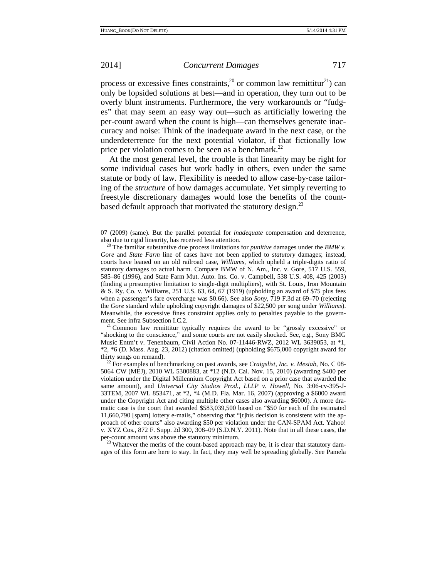process or excessive fines constraints,<sup>20</sup> or common law remittitur<sup>21</sup>) can only be lopsided solutions at best—and in operation, they turn out to be overly blunt instruments. Furthermore, the very workarounds or "fudges" that may seem an easy way out—such as artificially lowering the per-count award when the count is high—can themselves generate inaccuracy and noise: Think of the inadequate award in the next case, or the underdeterrence for the next potential violator, if that fictionally low price per violation comes to be seen as a benchmark.<sup>22</sup>

At the most general level, the trouble is that linearity may be right for some individual cases but work badly in others, even under the same statute or body of law. Flexibility is needed to allow case-by-case tailoring of the *structure* of how damages accumulate. Yet simply reverting to freestyle discretionary damages would lose the benefits of the countbased default approach that motivated the statutory design.<sup>23</sup>

 $2<sup>1</sup>$  Common law remittitur typically requires the award to be "grossly excessive" or "shocking to the conscience," and some courts are not easily shocked. See, e.g., Sony BMG Music Entm't v. Tenenbaum, Civil Action No. 07-11446-RWZ, 2012 WL 3639053, at \*1, \*2, \*6 (D. Mass. Aug. 23, 2012) (citation omitted) (upholding \$675,000 copyright award for

ages of this form are here to stay. In fact, they may well be spreading globally. See Pamela

<sup>07 (2009) (</sup>same). But the parallel potential for *inadequate* compensation and deterrence,

also due to rigid linearity, has received less attention. 20 The familiar substantive due process limitations for *punitive* damages under the *BMW v. Gore* and *State Farm* line of cases have not been applied to *statutory* damages; instead, courts have leaned on an old railroad case, *Williams*, which upheld a triple-digits ratio of statutory damages to actual harm. Compare BMW of N. Am., Inc. v. Gore, 517 U.S. 559, 585–86 (1996), and State Farm Mut. Auto. Ins. Co. v. Campbell, 538 U.S. 408, 425 (2003) (finding a presumptive limitation to single-digit multipliers), with St. Louis, Iron Mountain & S. Ry. Co. v. Williams, 251 U.S. 63, 64, 67 (1919) (upholding an award of \$75 plus fees when a passenger's fare overcharge was \$0.66). See also *Sony*, 719 F.3d at 69–70 (rejecting the *Gore* standard while upholding copyright damages of \$22,500 per song under *Williams*). Meanwhile, the excessive fines constraint applies only to penalties payable to the govern-<br>ment. See infra Subsection I.C.2.

<sup>&</sup>lt;sup>22</sup> For examples of benchmarking on past awards, see *Craigslist, Inc. v. Mesiab*, No. C 08-5064 CW (MEJ), 2010 WL 5300883, at \*12 (N.D. Cal. Nov. 15, 2010) (awarding \$400 per violation under the Digital Millennium Copyright Act based on a prior case that awarded the same amount), and *Universal City Studios Prod., LLLP v. Howell*, No. 3:06-cv-395-J-33TEM, 2007 WL 853471, at \*2, \*4 (M.D. Fla. Mar. 16, 2007) (approving a \$6000 award under the Copyright Act and citing multiple other cases also awarding \$6000). A more dramatic case is the court that awarded \$583,039,500 based on "\$50 for each of the estimated 11,660,790 [spam] lottery e-mails," observing that "[t]his decision is consistent with the approach of other courts" also awarding \$50 per violation under the CAN-SPAM Act. Yahoo! v. XYZ Cos., 872 F. Supp. 2d 300, 308–09 (S.D.N.Y. 2011). Note that in all these cases, the per-count amount was above the statutory minimum.<br><sup>23</sup> Whatever the merits of the count-based approach may be, it is clear that statutory dam-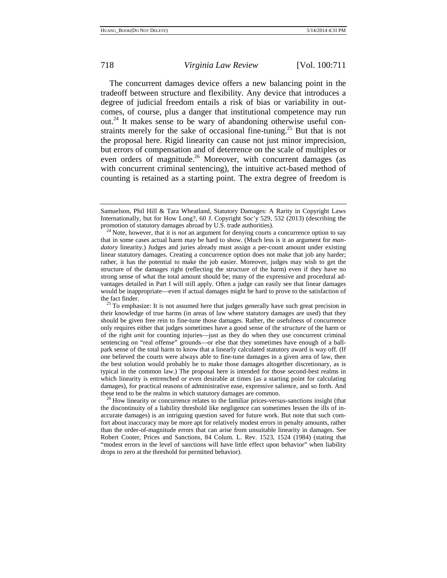The concurrent damages device offers a new balancing point in the tradeoff between structure and flexibility. Any device that introduces a degree of judicial freedom entails a risk of bias or variability in outcomes, of course, plus a danger that institutional competence may run out.24 It makes sense to be wary of abandoning otherwise useful constraints merely for the sake of occasional fine-tuning.<sup>25</sup> But that is not the proposal here. Rigid linearity can cause not just minor imprecision, but errors of compensation and of deterrence on the scale of multiples or even orders of magnitude.<sup>26</sup> Moreover, with concurrent damages (as with concurrent criminal sentencing), the intuitive act-based method of counting is retained as a starting point. The extra degree of freedom is

the discontinuity of a liability threshold like negligence can sometimes lessen the ills of inaccurate damages) is an intriguing question saved for future work. But note that such comfort about inaccuracy may be more apt for relatively modest errors in penalty amounts, rather than the order-of-magnitude errors that can arise from unsuitable linearity in damages. See Robert Cooter, Prices and Sanctions, 84 Colum. L. Rev. 1523, 1524 (1984) (stating that "modest errors in the level of sanctions will have little effect upon behavior" when liability drops to zero at the threshold for permitted behavior).

Samuelson, Phil Hill & Tara Wheatland, Statutory Damages: A Rarity in Copyright Laws Internationally, but for How Long?, 60 J. Copyright Soc'y 529, 532 (2013) (describing the

<sup>&</sup>lt;sup>24</sup> Note, however, that it is *not* an argument for denying courts a concurrence option to say that in some cases actual harm may be hard to show. (Much less is it an argument for *mandatory* linearity.) Judges and juries already must assign a per-count amount under existing linear statutory damages. Creating a concurrence option does not make that job any harder; rather, it has the potential to make the job easier. Moreover, judges may wish to get the structure of the damages right (reflecting the structure of the harm) even if they have no strong sense of what the total amount should be; many of the expressive and procedural advantages detailed in Part I will still apply. Often a judge can easily see that linear damages would be inappropriate—even if actual damages might be hard to prove to the satisfaction of the fact finder.<br><sup>25</sup> To emphasize: It is not assumed here that judges generally have such great precision in

their knowledge of true harms (in areas of law where statutory damages are used) that they should be given free rein to fine-tune those damages. Rather, the usefulness of concurrence only requires either that judges sometimes have a good sense of the *structure* of the harm or of the right *unit* for counting injuries—just as they do when they use concurrent criminal sentencing on "real offense" grounds—or else that they sometimes have enough of a ballpark sense of the total harm to know that a linearly calculated statutory award is way off. (If one believed the courts were always able to fine-tune damages in a given area of law, then the best solution would probably be to make those damages altogether discretionary, as is typical in the common law.) The proposal here is intended for those second-best realms in which linearity is entrenched or even desirable at times (as a starting point for calculating damages), for practical reasons of administrative ease, expressive salience, and so forth. And these tend to be the realms in which statutory damages are common.<br><sup>26</sup> How linearity or concurrence relates to the familiar prices-versus-sanctions insight (that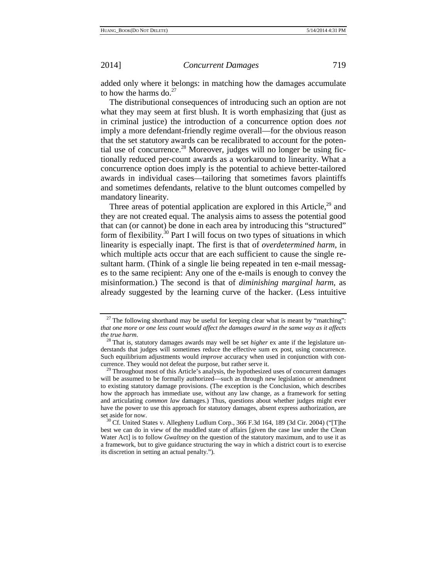added only where it belongs: in matching how the damages accumulate to how the harms do. $27$ 

The distributional consequences of introducing such an option are not what they may seem at first blush. It is worth emphasizing that (just as in criminal justice) the introduction of a concurrence option does *not* imply a more defendant-friendly regime overall—for the obvious reason that the set statutory awards can be recalibrated to account for the potential use of concurrence.<sup>28</sup> Moreover, judges will no longer be using fictionally reduced per-count awards as a workaround to linearity. What a concurrence option does imply is the potential to achieve better-tailored awards in individual cases—tailoring that sometimes favors plaintiffs and sometimes defendants, relative to the blunt outcomes compelled by mandatory linearity.

Three areas of potential application are explored in this Article, $^{29}$  and they are not created equal. The analysis aims to assess the potential good that can (or cannot) be done in each area by introducing this "structured" form of flexibility.<sup>30</sup> Part I will focus on two types of situations in which linearity is especially inapt. The first is that of *overdetermined harm*, in which multiple acts occur that are each sufficient to cause the single resultant harm. (Think of a single lie being repeated in ten e-mail messages to the same recipient: Any one of the e-mails is enough to convey the misinformation.) The second is that of *diminishing marginal harm*, as already suggested by the learning curve of the hacker. (Less intuitive

 $27$  The following shorthand may be useful for keeping clear what is meant by "matching": *that one more or one less count would affect the damages award in the same way as it affects the true harm.* 28 That is, statutory damages awards may well be set *higher* ex ante if the legislature un-

derstands that judges will sometimes reduce the effective sum ex post, using concurrence. Such equilibrium adjustments would *improve* accuracy when used in conjunction with concurrence. They would not defeat the purpose, but rather serve it. 29 Throughout most of this Article's analysis, the hypothesized uses of concurrent damages

will be assumed to be formally authorized—such as through new legislation or amendment to existing statutory damage provisions. (The exception is the Conclusion, which describes how the approach has immediate use, without any law change, as a framework for setting and articulating *common law* damages.) Thus, questions about whether judges might ever have the power to use this approach for statutory damages, absent express authorization, are set aside for now.<br><sup>30</sup> Cf. United States v. Allegheny Ludlum Corp., 366 F.3d 164, 189 (3d Cir. 2004) ("[T]he

best we can do in view of the muddled state of affairs [given the case law under the Clean Water Act] is to follow *Gwaltney* on the question of the statutory maximum, and to use it as a framework, but to give guidance structuring the way in which a district court is to exercise its discretion in setting an actual penalty.").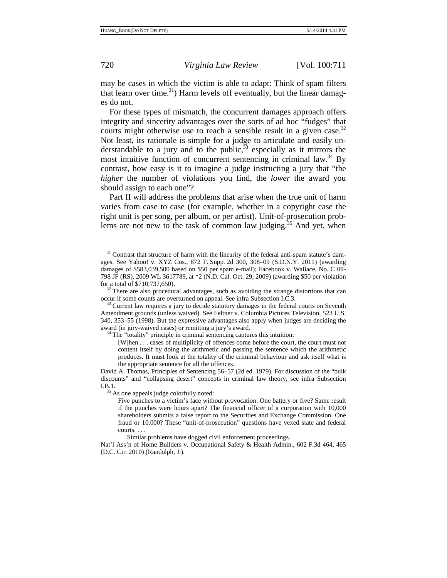may be cases in which the victim is able to adapt: Think of spam filters that learn over time.<sup>31</sup>) Harm levels off eventually, but the linear damages do not.

For these types of mismatch, the concurrent damages approach offers integrity and sincerity advantages over the sorts of ad hoc "fudges" that courts might otherwise use to reach a sensible result in a given case.<sup>32</sup> Not least, its rationale is simple for a judge to articulate and easily understandable to a jury and to the public,  $33$  especially as it mirrors the most intuitive function of concurrent sentencing in criminal law.<sup>34</sup> By contrast, how easy is it to imagine a judge instructing a jury that "the *higher* the number of violations you find, the *lower* the award you should assign to each one"?

Part II will address the problems that arise when the true unit of harm varies from case to case (for example, whether in a copyright case the right unit is per song, per album, or per artist). Unit-of-prosecution problems are not new to the task of common law judging.<sup>35</sup> And yet, when

Similar problems have dogged civil enforcement proceedings.

 $31$  Contrast that structure of harm with the linearity of the federal anti-spam statute's damages. See Yahoo! v. XYZ Cos., 872 F. Supp. 2d 300, 308–09 (S.D.N.Y. 2011) (awarding damages of \$583,039,500 based on \$50 per spam e-mail); Facebook v. Wallace, No. C 09- 798 JF (RS), 2009 WL 3617789, at \*2 (N.D. Cal. Oct. 29, 2009) (awarding \$50 per violation for a total of \$710,737,650).  $\frac{32}{1}$  There are also procedural advantages, such as avoiding the strange distortions that can

occur if some counts are overturned on appeal. See infra Subsection I.C.3. <sup>33</sup> Current law requires a jury to decide statutory damages in the federal courts on Seventh

Amendment grounds (unless waived). See Feltner v. Columbia Pictures Television, 523 U.S. 340, 353–55 (1998). But the expressive advantages also apply when judges are deciding the award (in jury-waived cases) or remitting a jury's award.  $34$  The "totality" principle in criminal sentencing captures this intuition:

<sup>[</sup>W]hen . . . cases of multiplicity of offences come before the court, the court must not content itself by doing the arithmetic and passing the sentence which the arithmetic produces. It must look at the totality of the criminal behaviour and ask itself what is the appropriate sentence for all the offences.

David A. Thomas, Principles of Sentencing 56–57 (2d ed. 1979). For discussion of the "bulk discounts" and "collapsing desert" concepts in criminal law theory, see infra Subsection I.B.1.  $35$  As one appeals judge colorfully noted:

Five punches to a victim's face without provocation. One battery or five? Same result if the punches were hours apart? The financial officer of a corporation with 10,000 shareholders submits a false report to the Securities and Exchange Commission. One fraud or 10,000? These "unit-of-prosecution" questions have vexed state and federal courts. . . .

Nat'l Ass'n of Home Builders v. Occupational Safety & Health Admin., 602 F.3d 464, 465 (D.C. Cir. 2010) (Randolph, J.).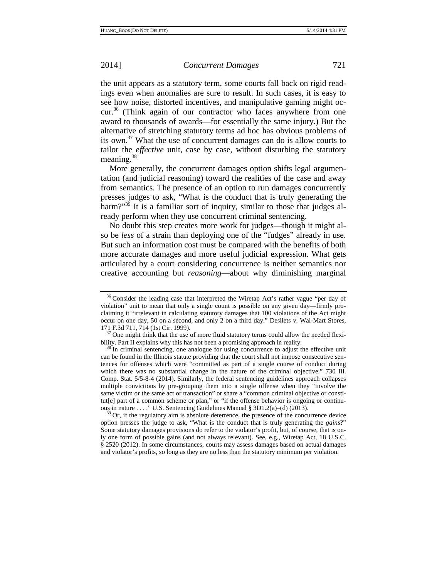the unit appears as a statutory term, some courts fall back on rigid readings even when anomalies are sure to result. In such cases, it is easy to see how noise, distorted incentives, and manipulative gaming might occur.36 (Think again of our contractor who faces anywhere from one award to thousands of awards—for essentially the same injury.) But the alternative of stretching statutory terms ad hoc has obvious problems of its own.37 What the use of concurrent damages can do is allow courts to tailor the *effective* unit, case by case, without disturbing the statutory meaning.<sup>38</sup>

More generally, the concurrent damages option shifts legal argumentation (and judicial reasoning) toward the realities of the case and away from semantics. The presence of an option to run damages concurrently presses judges to ask, "What is the conduct that is truly generating the harm?"<sup>39</sup> It is a familiar sort of inquiry, similar to those that judges already perform when they use concurrent criminal sentencing.

No doubt this step creates more work for judges—though it might also be *less* of a strain than deploying one of the "fudges" already in use. But such an information cost must be compared with the benefits of both more accurate damages and more useful judicial expression. What gets articulated by a court considering concurrence is neither semantics nor creative accounting but *reasoning*—about why diminishing marginal

 $36$  Consider the leading case that interpreted the Wiretap Act's rather vague "per day of violation" unit to mean that only a single count is possible on any given day—firmly proclaiming it "irrelevant in calculating statutory damages that 100 violations of the Act might occur on one day, 50 on a second, and only 2 on a third day." Desilets v. Wal-Mart Stores,

 $137$  One might think that the use of more fluid statutory terms could allow the needed flexibility. Part II explains why this has not been a promising approach in reality.<br><sup>38</sup> In criminal sentencing, one analogue for using concurrence to adjust the effective unit

can be found in the Illinois statute providing that the court shall not impose consecutive sentences for offenses which were "committed as part of a single course of conduct during which there was no substantial change in the nature of the criminal objective." 730 Ill. Comp. Stat. 5/5-8-4 (2014). Similarly, the federal sentencing guidelines approach collapses multiple convictions by pre-grouping them into a single offense when they "involve the same victim or the same act or transaction" or share a "common criminal objective or constitut[e] part of a common scheme or plan," or "if the offense behavior is ongoing or continuous in nature . . . ." U.S. Sentencing Guidelines Manual § 3D1.2(a)–(d) (2013). <sup>39</sup> Or, if the regulatory aim is absolute deterrence, the presence of the concurrence device

option presses the judge to ask, "What is the conduct that is truly generating the *gains*?" Some statutory damages provisions do refer to the violator's profit, but, of course, that is only one form of possible gains (and not always relevant). See, e.g., Wiretap Act, 18 U.S.C. § 2520 (2012). In some circumstances, courts may assess damages based on actual damages and violator's profits, so long as they are no less than the statutory minimum per violation.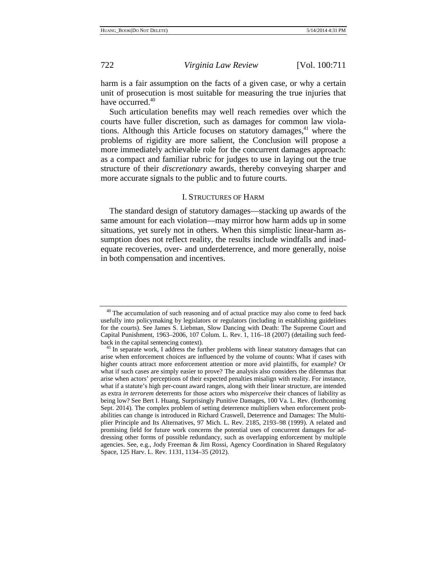harm is a fair assumption on the facts of a given case, or why a certain unit of prosecution is most suitable for measuring the true injuries that have occurred.<sup>40</sup>

Such articulation benefits may well reach remedies over which the courts have fuller discretion, such as damages for common law violations. Although this Article focuses on statutory damages, $41$  where the problems of rigidity are more salient, the Conclusion will propose a more immediately achievable role for the concurrent damages approach: as a compact and familiar rubric for judges to use in laying out the true structure of their *discretionary* awards, thereby conveying sharper and more accurate signals to the public and to future courts.

# I. STRUCTURES OF HARM

The standard design of statutory damages—stacking up awards of the same amount for each violation—may mirror how harm adds up in some situations, yet surely not in others. When this simplistic linear-harm assumption does not reflect reality, the results include windfalls and inadequate recoveries, over- and underdeterrence, and more generally, noise in both compensation and incentives.

<sup>&</sup>lt;sup>40</sup> The accumulation of such reasoning and of actual practice may also come to feed back usefully into policymaking by legislators or regulators (including in establishing guidelines for the courts). See James S. Liebman, Slow Dancing with Death: The Supreme Court and Capital Punishment, 1963–2006, 107 Colum. L. Rev. 1, 116–18 (2007) (detailing such feed-

back in the capital sentencing context).<br><sup>41</sup> In separate work, I address the further problems with linear statutory damages that can arise when enforcement choices are influenced by the volume of counts: What if cases with higher counts attract more enforcement attention or more avid plaintiffs, for example? Or what if such cases are simply easier to prove? The analysis also considers the dilemmas that arise when actors' perceptions of their expected penalties misalign with reality. For instance, what if a statute's high per-count award ranges, along with their linear structure, are intended as extra *in terrorem* deterrents for those actors who *misperceive* their chances of liability as being low? See Bert I. Huang, Surprisingly Punitive Damages, 100 Va. L. Rev. (forthcoming Sept. 2014). The complex problem of setting deterrence multipliers when enforcement probabilities can change is introduced in Richard Craswell, Deterrence and Damages: The Multiplier Principle and Its Alternatives, 97 Mich. L. Rev. 2185, 2193–98 (1999). A related and promising field for future work concerns the potential uses of concurrent damages for addressing other forms of possible redundancy, such as overlapping enforcement by multiple agencies. See, e.g., Jody Freeman & Jim Rossi, Agency Coordination in Shared Regulatory Space, 125 Harv. L. Rev. 1131, 1134–35 (2012).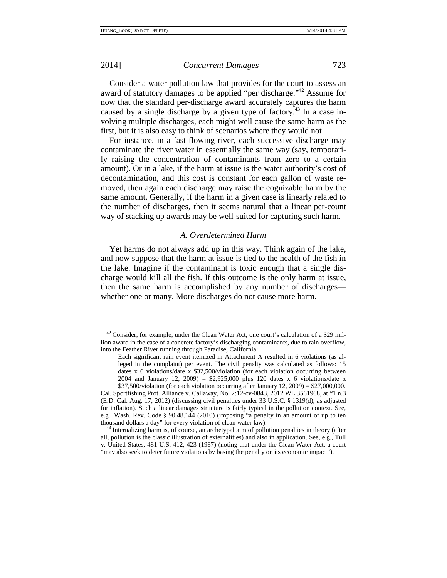Consider a water pollution law that provides for the court to assess an award of statutory damages to be applied "per discharge."42 Assume for now that the standard per-discharge award accurately captures the harm caused by a single discharge by a given type of factory.<sup>43</sup> In a case involving multiple discharges, each might well cause the same harm as the first, but it is also easy to think of scenarios where they would not.

For instance, in a fast-flowing river, each successive discharge may contaminate the river water in essentially the same way (say, temporarily raising the concentration of contaminants from zero to a certain amount). Or in a lake, if the harm at issue is the water authority's cost of decontamination, and this cost is constant for each gallon of waste removed, then again each discharge may raise the cognizable harm by the same amount. Generally, if the harm in a given case is linearly related to the number of discharges, then it seems natural that a linear per-count way of stacking up awards may be well-suited for capturing such harm.

# *A. Overdetermined Harm*

Yet harms do not always add up in this way. Think again of the lake, and now suppose that the harm at issue is tied to the health of the fish in the lake. Imagine if the contaminant is toxic enough that a single discharge would kill all the fish. If this outcome is the only harm at issue, then the same harm is accomplished by any number of discharges whether one or many. More discharges do not cause more harm.

 $42$  Consider, for example, under the Clean Water Act, one court's calculation of a \$29 million award in the case of a concrete factory's discharging contaminants, due to rain overflow, into the Feather River running through Paradise, California:

Each significant rain event itemized in Attachment A resulted in 6 violations (as alleged in the complaint) per event. The civil penalty was calculated as follows: 15 dates x 6 violations/date x \$32,500/violation (for each violation occurring between 2004 and January 12, 2009) =  $$2,925,000$  plus 120 dates x 6 violations/date x  $$37,500/$ violation (for each violation occurring after January 12, 2009) = \$27,000,000.

Cal. Sportfishing Prot. Alliance v. Callaway, No. 2:12-cv-0843, 2012 WL 3561968, at \*1 n.3 (E.D. Cal. Aug. 17, 2012) (discussing civil penalties under 33 U.S.C. § 1319(d), as adjusted for inflation). Such a linear damages structure is fairly typical in the pollution context. See, e.g., Wash. Rev. Code § 90.48.144 (2010) (imposing "a penalty in an amount of up to ten thousand dollars a day" for every violation of clean water law).

 $43$  Internalizing harm is, of course, an archetypal aim of pollution penalties in theory (after all, pollution is the classic illustration of externalities) and also in application. See, e.g., Tull v. United States, 481 U.S. 412, 423 (1987) (noting that under the Clean Water Act, a court "may also seek to deter future violations by basing the penalty on its economic impact").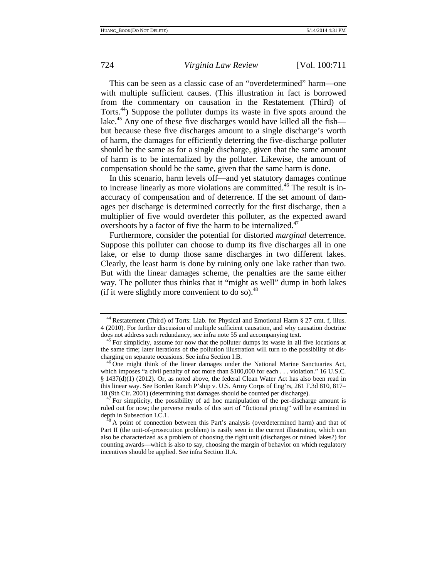This can be seen as a classic case of an "overdetermined" harm—one with multiple sufficient causes. (This illustration in fact is borrowed from the commentary on causation in the Restatement (Third) of Torts.44) Suppose the polluter dumps its waste in five spots around the lake.<sup>45</sup> Any one of these five discharges would have killed all the fish but because these five discharges amount to a single discharge's worth of harm, the damages for efficiently deterring the five-discharge polluter should be the same as for a single discharge, given that the same amount of harm is to be internalized by the polluter. Likewise, the amount of compensation should be the same, given that the same harm is done.

In this scenario, harm levels off—and yet statutory damages continue to increase linearly as more violations are committed.<sup>46</sup> The result is inaccuracy of compensation and of deterrence. If the set amount of damages per discharge is determined correctly for the first discharge, then a multiplier of five would overdeter this polluter, as the expected award overshoots by a factor of five the harm to be internalized. $47$ 

Furthermore, consider the potential for distorted *marginal* deterrence. Suppose this polluter can choose to dump its five discharges all in one lake, or else to dump those same discharges in two different lakes. Clearly, the least harm is done by ruining only one lake rather than two. But with the linear damages scheme, the penalties are the same either way. The polluter thus thinks that it "might as well" dump in both lakes (if it were slightly more convenient to do so). $48$ 

<sup>44</sup> Restatement (Third) of Torts: Liab. for Physical and Emotional Harm § 27 cmt. f, illus. 4 (2010). For further discussion of multiple sufficient causation, and why causation doctrine does not address such redundancy, see infra note 55 and accompanying text.<br><sup>45</sup> For simplicity, assume for now that the polluter dumps its waste in all five locations at

the same time; later iterations of the pollution illustration will turn to the possibility of dis-<br>charging on separate occasions. See infra Section I.B.

 $^{46}$  One might think of the linear damages under the National Marine Sanctuaries Act, which imposes "a civil penalty of not more than \$100,000 for each . . . violation." 16 U.S.C. § 1437(d)(1) (2012). Or, as noted above, the federal Clean Water Act has also been read in this linear way. See Borden Ranch P'ship v. U.S. Army Corps of Eng'rs, 261 F.3d 810, 817– 18 (9th Cir. 2001) (determining that damages should be counted per discharge).<br><sup>47</sup> For simplicity, the possibility of ad hoc manipulation of the per-discharge amount is

ruled out for now; the perverse results of this sort of "fictional pricing" will be examined in depth in Subsection I.C.1.<br><sup>48</sup> A point of connection between this Part's analysis (overdetermined harm) and that of

Part II (the unit-of-prosecution problem) is easily seen in the current illustration, which can also be characterized as a problem of choosing the right unit (discharges or ruined lakes?) for counting awards—which is also to say, choosing the margin of behavior on which regulatory incentives should be applied. See infra Section II.A.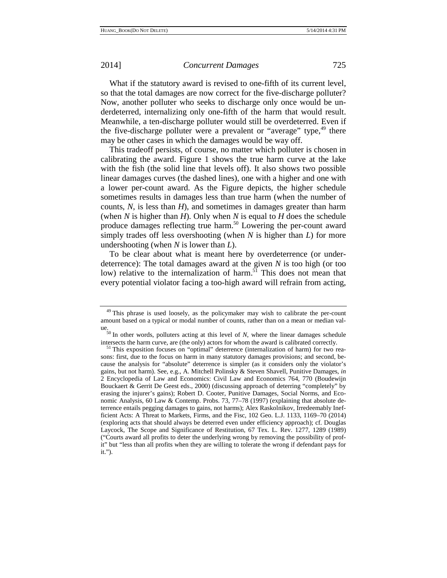What if the statutory award is revised to one-fifth of its current level, so that the total damages are now correct for the five-discharge polluter? Now, another polluter who seeks to discharge only once would be underdeterred, internalizing only one-fifth of the harm that would result. Meanwhile, a ten-discharge polluter would still be overdeterred. Even if the five-discharge polluter were a prevalent or "average" type, $49$  there may be other cases in which the damages would be way off.

This tradeoff persists, of course, no matter which polluter is chosen in calibrating the award. Figure 1 shows the true harm curve at the lake with the fish (the solid line that levels off). It also shows two possible linear damages curves (the dashed lines), one with a higher and one with a lower per-count award. As the Figure depicts, the higher schedule sometimes results in damages less than true harm (when the number of counts, *N*, is less than *H*), and sometimes in damages greater than harm (when *N* is higher than *H*). Only when *N* is equal to *H* does the schedule produce damages reflecting true harm.<sup>50</sup> Lowering the per-count award simply trades off less overshooting (when *N* is higher than *L*) for more undershooting (when *N* is lower than *L*).

To be clear about what is meant here by overdeterrence (or underdeterrence): The total damages award at the given *N* is too high (or too low) relative to the internalization of harm. $51$  This does not mean that every potential violator facing a too-high award will refrain from acting,

<sup>&</sup>lt;sup>49</sup> This phrase is used loosely, as the policymaker may wish to calibrate the per-count amount based on a typical or modal number of counts, rather than on a mean or median val-

ue.<br><sup>50</sup> In other words, polluters acting at this level of *N*, where the linear damages schedule<br>intersects the harm curve, are (the only) actors for whom the award is calibrated correctly.

<sup>&</sup>lt;sup>51</sup> This exposition focuses on "optimal" deterrence (internalization of harm) for two reasons: first, due to the focus on harm in many statutory damages provisions; and second, because the analysis for "absolute" deterrence is simpler (as it considers only the violator's gains, but not harm). See, e.g., A. Mitchell Polinsky & Steven Shavell, Punitive Damages, *in* 2 Encyclopedia of Law and Economics: Civil Law and Economics 764, 770 (Boudewijn Bouckaert & Gerrit De Geest eds., 2000) (discussing approach of deterring "completely" by erasing the injurer's gains); Robert D. Cooter, Punitive Damages, Social Norms, and Economic Analysis, 60 Law & Contemp. Probs. 73, 77–78 (1997) (explaining that absolute deterrence entails pegging damages to gains, not harms); Alex Raskolnikov, Irredeemably Inefficient Acts: A Threat to Markets, Firms, and the Fisc, 102 Geo. L.J. 1133, 1169–70 (2014) (exploring acts that should always be deterred even under efficiency approach); cf. Douglas Laycock, The Scope and Significance of Restitution, 67 Tex. L. Rev. 1277, 1289 (1989) ("Courts award all profits to deter the underlying wrong by removing the possibility of profit" but "less than all profits when they are willing to tolerate the wrong if defendant pays for it.").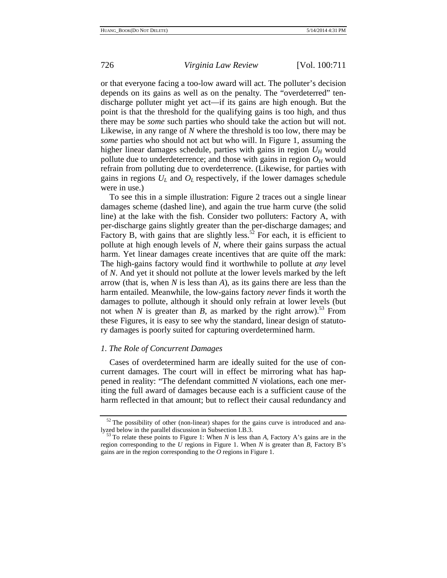or that everyone facing a too-low award will act. The polluter's decision depends on its gains as well as on the penalty. The "overdeterred" tendischarge polluter might yet act—if its gains are high enough. But the point is that the threshold for the qualifying gains is too high, and thus there may be *some* such parties who should take the action but will not. Likewise, in any range of *N* where the threshold is too low, there may be *some* parties who should not act but who will. In Figure 1, assuming the higher linear damages schedule, parties with gains in region  $U_H$  would pollute due to underdeterrence; and those with gains in region  $O_H$  would refrain from polluting due to overdeterrence. (Likewise, for parties with gains in regions  $U_L$  and  $O_L$  respectively, if the lower damages schedule were in use.)

To see this in a simple illustration: Figure 2 traces out a single linear damages scheme (dashed line), and again the true harm curve (the solid line) at the lake with the fish. Consider two polluters: Factory A, with per-discharge gains slightly greater than the per-discharge damages; and Factory B, with gains that are slightly less.<sup>52</sup> For each, it is efficient to pollute at high enough levels of *N*, where their gains surpass the actual harm. Yet linear damages create incentives that are quite off the mark: The high-gains factory would find it worthwhile to pollute at *any* level of *N*. And yet it should not pollute at the lower levels marked by the left arrow (that is, when *N* is less than *A*), as its gains there are less than the harm entailed. Meanwhile, the low-gains factory *never* finds it worth the damages to pollute, although it should only refrain at lower levels (but not when *N* is greater than *B*, as marked by the right arrow).<sup>53</sup> From these Figures, it is easy to see why the standard, linear design of statutory damages is poorly suited for capturing overdetermined harm.

# *1. The Role of Concurrent Damages*

Cases of overdetermined harm are ideally suited for the use of concurrent damages. The court will in effect be mirroring what has happened in reality: "The defendant committed *N* violations, each one meriting the full award of damages because each is a sufficient cause of the harm reflected in that amount; but to reflect their causal redundancy and

 $52$  The possibility of other (non-linear) shapes for the gains curve is introduced and ana-lyzed below in the parallel discussion in Subsection I.B.3.

<sup>&</sup>lt;sup>53</sup> To relate these points to Figure 1: When *N* is less than *A*, Factory A's gains are in the region corresponding to the *U* regions in Figure 1. When *N* is greater than *B*, Factory B's gains are in the region corresponding to the *O* regions in Figure 1.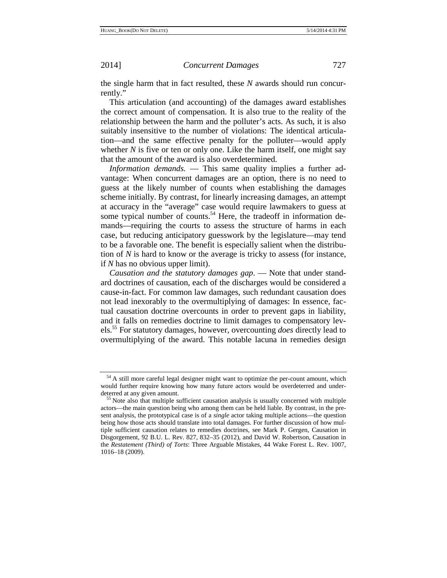the single harm that in fact resulted, these *N* awards should run concurrently."

This articulation (and accounting) of the damages award establishes the correct amount of compensation. It is also true to the reality of the relationship between the harm and the polluter's acts. As such, it is also suitably insensitive to the number of violations: The identical articulation—and the same effective penalty for the polluter—would apply whether *N* is five or ten or only one. Like the harm itself, one might say that the amount of the award is also overdetermined.

*Information demands.* — This same quality implies a further advantage: When concurrent damages are an option, there is no need to guess at the likely number of counts when establishing the damages scheme initially. By contrast, for linearly increasing damages, an attempt at accuracy in the "average" case would require lawmakers to guess at some typical number of counts.<sup>54</sup> Here, the tradeoff in information demands—requiring the courts to assess the structure of harms in each case, but reducing anticipatory guesswork by the legislature—may tend to be a favorable one. The benefit is especially salient when the distribution of *N* is hard to know or the average is tricky to assess (for instance, if *N* has no obvious upper limit).

*Causation and the statutory damages gap*. — Note that under standard doctrines of causation, each of the discharges would be considered a cause-in-fact. For common law damages, such redundant causation does not lead inexorably to the overmultiplying of damages: In essence, factual causation doctrine overcounts in order to prevent gaps in liability, and it falls on remedies doctrine to limit damages to compensatory levels.55 For statutory damages, however, overcounting *does* directly lead to overmultiplying of the award. This notable lacuna in remedies design

<sup>&</sup>lt;sup>54</sup> A still more careful legal designer might want to optimize the per-count amount, which would further require knowing how many future actors would be overdeterred and underdeterred at any given amount.<br><sup>55</sup> Note also that multiple sufficient causation analysis is usually concerned with multiple

actors—the main question being who among them can be held liable. By contrast, in the present analysis, the prototypical case is of a *single* actor taking multiple actions—the question being how those acts should translate into total damages. For further discussion of how multiple sufficient causation relates to remedies doctrines, see Mark P. Gergen, Causation in Disgorgement, 92 B.U. L. Rev. 827, 832–35 (2012), and David W. Robertson, Causation in the *Restatement (Third) of Torts*: Three Arguable Mistakes, 44 Wake Forest L. Rev. 1007, 1016–18 (2009).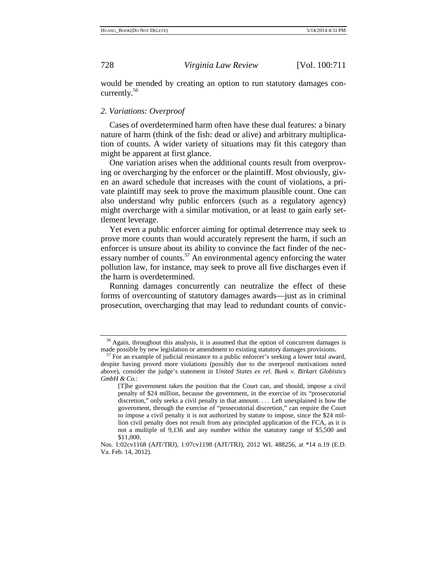would be mended by creating an option to run statutory damages concurrently.<sup>56</sup>

### *2. Variations: Overproof*

Cases of overdetermined harm often have these dual features: a binary nature of harm (think of the fish: dead or alive) and arbitrary multiplication of counts. A wider variety of situations may fit this category than might be apparent at first glance.

One variation arises when the additional counts result from overproving or overcharging by the enforcer or the plaintiff. Most obviously, given an award schedule that increases with the count of violations, a private plaintiff may seek to prove the maximum plausible count. One can also understand why public enforcers (such as a regulatory agency) might overcharge with a similar motivation, or at least to gain early settlement leverage.

Yet even a public enforcer aiming for optimal deterrence may seek to prove more counts than would accurately represent the harm, if such an enforcer is unsure about its ability to convince the fact finder of the necessary number of counts.<sup>57</sup> An environmental agency enforcing the water pollution law, for instance, may seek to prove all five discharges even if the harm is overdetermined.

Running damages concurrently can neutralize the effect of these forms of overcounting of statutory damages awards—just as in criminal prosecution, overcharging that may lead to redundant counts of convic-

<sup>&</sup>lt;sup>56</sup> Again, throughout this analysis, it is assumed that the option of concurrent damages is made possible by new legislation or amendment to existing statutory damages provisions.<br><sup>57</sup> For an example of judicial resistance to a public enforcer's seeking a lower total award,

despite having proved more violations (possibly due to the overproof motivations noted above), consider the judge's statement in *United States ex rel. Bunk v. Birkart Globistics GmbH & Co.*:

<sup>[</sup>T]he government takes the position that the Court can, and should, impose a civil penalty of \$24 million, because the government, in the exercise of its "prosecutorial discretion," only seeks a civil penalty in that amount. . . . Left unexplained is how the government, through the exercise of "prosecutorial discretion," can require the Court to impose a civil penalty it is not authorized by statute to impose, since the \$24 million civil penalty does not result from any principled application of the FCA, as it is not a multiple of 9,136 and any number within the statutory range of \$5,500 and \$11,000.

Nos. 1:02cv1168 (AJT/TRJ), 1:07cv1198 (AJT/TRJ), 2012 WL 488256, at \*14 n.19 (E.D. Va. Feb. 14, 2012).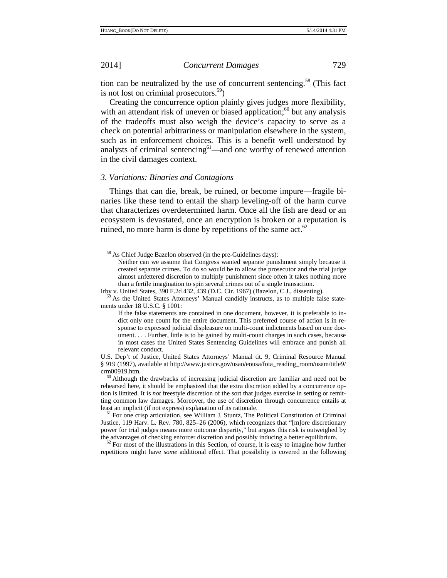tion can be neutralized by the use of concurrent sentencing.<sup>58</sup> (This fact is not lost on criminal prosecutors.<sup>59</sup>)

Creating the concurrence option plainly gives judges more flexibility, with an attendant risk of uneven or biased application; $60$  but any analysis of the tradeoffs must also weigh the device's capacity to serve as a check on potential arbitrariness or manipulation elsewhere in the system, such as in enforcement choices. This is a benefit well understood by analysts of criminal sentencing<sup>61</sup>—and one worthy of renewed attention in the civil damages context.

## *3. Variations: Binaries and Contagions*

Things that can die, break, be ruined, or become impure—fragile binaries like these tend to entail the sharp leveling-off of the harm curve that characterizes overdetermined harm. Once all the fish are dead or an ecosystem is devastated, once an encryption is broken or a reputation is ruined, no more harm is done by repetitions of the same act. $62$ 

Irby v. United States, 390 F.2d 432, 439 (D.C. Cir. 1967) (Bazelon, C.J., dissenting). <sup>59</sup> As the United States Attorneys' Manual candidly instructs, as to multiple false statements under 18 U.S.C. § 1001:

<sup>58</sup> As Chief Judge Bazelon observed (in the pre-Guidelines days):

Neither can we assume that Congress wanted separate punishment simply because it created separate crimes. To do so would be to allow the prosecutor and the trial judge almost unfettered discretion to multiply punishment since often it takes nothing more than a fertile imagination to spin several crimes out of a single transaction.

If the false statements are contained in one document, however, it is preferable to indict only one count for the entire document. This preferred course of action is in response to expressed judicial displeasure on multi-count indictments based on one document. . . . Further, little is to be gained by multi-count charges in such cases, because in most cases the United States Sentencing Guidelines will embrace and punish all relevant conduct.

U.S. Dep't of Justice, United States Attorneys' Manual tit. 9, Criminal Resource Manual § 919 (1997), available at http://www.justice.gov/usao/eousa/foia\_reading\_room/usam/title9/  $\frac{60}{60}$  Although the drawbacks of increasing judicial discretion are familiar and need not be

rehearsed here, it should be emphasized that the extra discretion added by a concurrence option is limited. It is *not* freestyle discretion of the sort that judges exercise in setting or remitting common law damages. Moreover, the use of discretion through concurrence entails at least an implicit (if not express) explanation of its rationale.<br><sup>61</sup> For one crisp articulation, see William J. Stuntz, The Political Constitution of Criminal

Justice, 119 Harv. L. Rev. 780, 825–26 (2006), which recognizes that "[m]ore discretionary power for trial judges means more outcome disparity," but argues this risk is outweighed by the advantages of checking enforcer discretion and possibly inducing a better equilibrium.  $62$  For most of the illustrations in this Section, of course, it is easy to imagine how further

repetitions might have *some* additional effect. That possibility is covered in the following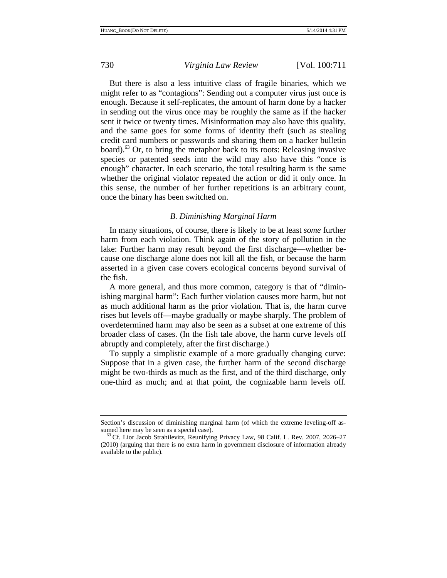But there is also a less intuitive class of fragile binaries, which we might refer to as "contagions": Sending out a computer virus just once is enough. Because it self-replicates, the amount of harm done by a hacker in sending out the virus once may be roughly the same as if the hacker sent it twice or twenty times. Misinformation may also have this quality, and the same goes for some forms of identity theft (such as stealing credit card numbers or passwords and sharing them on a hacker bulletin board). $^{63}$  Or, to bring the metaphor back to its roots: Releasing invasive species or patented seeds into the wild may also have this "once is enough" character. In each scenario, the total resulting harm is the same whether the original violator repeated the action or did it only once. In this sense, the number of her further repetitions is an arbitrary count, once the binary has been switched on.

# *B. Diminishing Marginal Harm*

In many situations, of course, there is likely to be at least *some* further harm from each violation. Think again of the story of pollution in the lake: Further harm may result beyond the first discharge—whether because one discharge alone does not kill all the fish, or because the harm asserted in a given case covers ecological concerns beyond survival of the fish.

A more general, and thus more common, category is that of "diminishing marginal harm": Each further violation causes more harm, but not as much additional harm as the prior violation. That is, the harm curve rises but levels off—maybe gradually or maybe sharply. The problem of overdetermined harm may also be seen as a subset at one extreme of this broader class of cases. (In the fish tale above, the harm curve levels off abruptly and completely, after the first discharge.)

To supply a simplistic example of a more gradually changing curve: Suppose that in a given case, the further harm of the second discharge might be two-thirds as much as the first, and of the third discharge, only one-third as much; and at that point, the cognizable harm levels off.

Section's discussion of diminishing marginal harm (of which the extreme leveling-off assumed here may be seen as a special case).<br><sup>63</sup> Cf. Lior Jacob Strahilevitz, Reunifying Privacy Law, 98 Calif. L. Rev. 2007, 2026–27

<sup>(2010) (</sup>arguing that there is no extra harm in government disclosure of information already available to the public).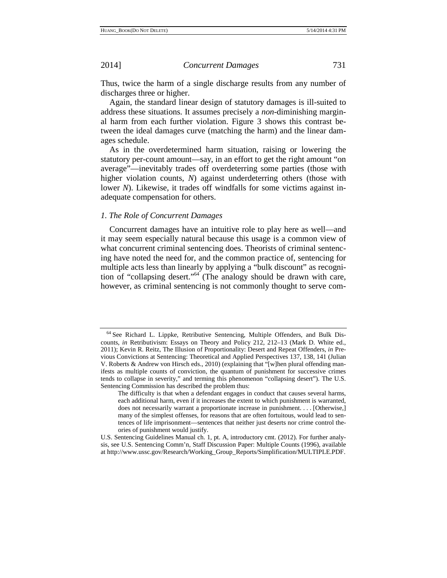Thus, twice the harm of a single discharge results from any number of discharges three or higher.

Again, the standard linear design of statutory damages is ill-suited to address these situations. It assumes precisely a *non*-diminishing marginal harm from each further violation. Figure 3 shows this contrast between the ideal damages curve (matching the harm) and the linear damages schedule.

As in the overdetermined harm situation, raising or lowering the statutory per-count amount—say, in an effort to get the right amount "on average"—inevitably trades off overdeterring some parties (those with higher violation counts, *N*) against underdeterring others (those with lower *N*). Likewise, it trades off windfalls for some victims against inadequate compensation for others.

# *1. The Role of Concurrent Damages*

Concurrent damages have an intuitive role to play here as well—and it may seem especially natural because this usage is a common view of what concurrent criminal sentencing does. Theorists of criminal sentencing have noted the need for, and the common practice of, sentencing for multiple acts less than linearly by applying a "bulk discount" as recognition of "collapsing desert."64 (The analogy should be drawn with care, however, as criminal sentencing is not commonly thought to serve com-

<sup>64</sup> See Richard L. Lippke, Retributive Sentencing, Multiple Offenders, and Bulk Discounts, *in* Retributivism: Essays on Theory and Policy 212, 212–13 (Mark D. White ed., 2011); Kevin R. Reitz, The Illusion of Proportionality: Desert and Repeat Offenders, *in* Previous Convictions at Sentencing: Theoretical and Applied Perspectives 137, 138, 141 (Julian V. Roberts & Andrew von Hirsch eds., 2010) (explaining that "[w]hen plural offending manifests as multiple counts of conviction, the quantum of punishment for successive crimes tends to collapse in severity," and terming this phenomenon "collapsing desert"). The U.S. Sentencing Commission has described the problem thus:

The difficulty is that when a defendant engages in conduct that causes several harms, each additional harm, even if it increases the extent to which punishment is warranted, does not necessarily warrant a proportionate increase in punishment. . . . [Otherwise,] many of the simplest offenses, for reasons that are often fortuitous, would lead to sentences of life imprisonment—sentences that neither just deserts nor crime control theories of punishment would justify.

U.S. Sentencing Guidelines Manual ch. 1, pt. A, introductory cmt. (2012). For further analysis, see U.S. Sentencing Comm'n, Staff Discussion Paper: Multiple Counts (1996), available at http://www.ussc.gov/Research/Working\_Group\_Reports/Simplification/MULTIPLE.PDF.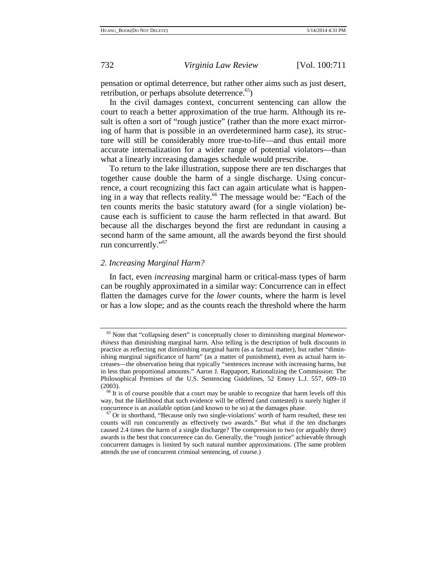pensation or optimal deterrence, but rather other aims such as just desert, retribution, or perhaps absolute deterrence.<sup>65</sup>)

In the civil damages context, concurrent sentencing can allow the court to reach a better approximation of the true harm. Although its result is often a sort of "rough justice" (rather than the more exact mirroring of harm that is possible in an overdetermined harm case), its structure will still be considerably more true-to-life—and thus entail more accurate internalization for a wider range of potential violators—than what a linearly increasing damages schedule would prescribe.

To return to the lake illustration, suppose there are ten discharges that together cause double the harm of a single discharge. Using concurrence, a court recognizing this fact can again articulate what is happening in a way that reflects reality.<sup>66</sup> The message would be: "Each of the ten counts merits the basic statutory award (for a single violation) because each is sufficient to cause the harm reflected in that award. But because all the discharges beyond the first are redundant in causing a second harm of the same amount, all the awards beyond the first should run concurrently."<sup>67</sup>

# *2. Increasing Marginal Harm?*

In fact, even *increasing* marginal harm or critical-mass types of harm can be roughly approximated in a similar way: Concurrence can in effect flatten the damages curve for the *lower* counts, where the harm is level or has a low slope; and as the counts reach the threshold where the harm

<sup>65</sup> Note that "collapsing desert" is conceptually closer to diminishing marginal *blameworthiness* than diminishing marginal harm. Also telling is the description of bulk discounts in practice as reflecting not diminishing marginal harm (as a factual matter), but rather "diminishing marginal significance of harm" (as a matter of punishment), even as actual harm increases—the observation being that typically "sentences increase with increasing harms, but in less than proportional amounts." Aaron J. Rappaport, Rationalizing the Commission: The Philosophical Premises of the U.S. Sentencing Guidelines, 52 Emory L.J. 557, 609–10

 $66$  It is of course possible that a court may be unable to recognize that harm levels off this way, but the likelihood that such evidence will be offered (and contested) is surely higher if concurrence is an available option (and known to be so) at the damages phase.  $67$  Or in shorthand, "Because only two single-violations' worth of harm resulted, these ten

counts will run concurrently as effectively two awards." But what if the ten discharges caused 2.4 times the harm of a single discharge? The compression to two (or arguably three) awards is the best that concurrence can do. Generally, the "rough justice" achievable through concurrent damages is limited by such natural number approximations. (The same problem attends the use of concurrent criminal sentencing, of course.)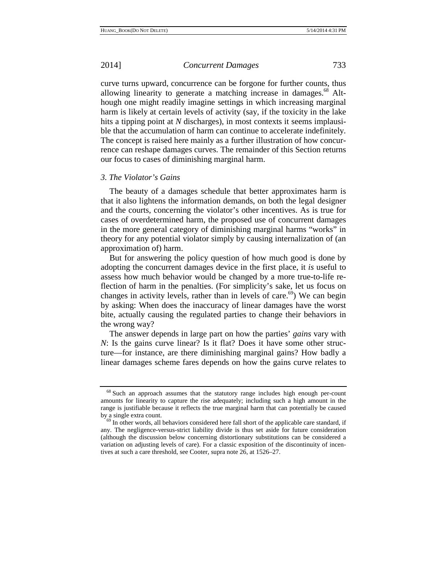curve turns upward, concurrence can be forgone for further counts, thus allowing linearity to generate a matching increase in damages.<sup>68</sup> Although one might readily imagine settings in which increasing marginal harm is likely at certain levels of activity (say, if the toxicity in the lake hits a tipping point at *N* discharges), in most contexts it seems implausible that the accumulation of harm can continue to accelerate indefinitely. The concept is raised here mainly as a further illustration of how concurrence can reshape damages curves. The remainder of this Section returns our focus to cases of diminishing marginal harm.

### *3. The Violator's Gains*

The beauty of a damages schedule that better approximates harm is that it also lightens the information demands, on both the legal designer and the courts, concerning the violator's other incentives. As is true for cases of overdetermined harm, the proposed use of concurrent damages in the more general category of diminishing marginal harms "works" in theory for any potential violator simply by causing internalization of (an approximation of) harm.

But for answering the policy question of how much good is done by adopting the concurrent damages device in the first place, it *is* useful to assess how much behavior would be changed by a more true-to-life reflection of harm in the penalties. (For simplicity's sake, let us focus on changes in activity levels, rather than in levels of care.<sup>69</sup>) We can begin by asking: When does the inaccuracy of linear damages have the worst bite, actually causing the regulated parties to change their behaviors in the wrong way?

The answer depends in large part on how the parties' *gains* vary with *N*: Is the gains curve linear? Is it flat? Does it have some other structure—for instance, are there diminishing marginal gains? How badly a linear damages scheme fares depends on how the gains curve relates to

<sup>68</sup> Such an approach assumes that the statutory range includes high enough per-count amounts for linearity to capture the rise adequately; including such a high amount in the range is justifiable because it reflects the true marginal harm that can potentially be caused by a single extra count.<br><sup>69</sup> In other words, all behaviors considered here fall short of the applicable care standard, if

any. The negligence-versus-strict liability divide is thus set aside for future consideration (although the discussion below concerning distortionary substitutions can be considered a variation on adjusting levels of care). For a classic exposition of the discontinuity of incentives at such a care threshold, see Cooter, supra note 26, at 1526–27.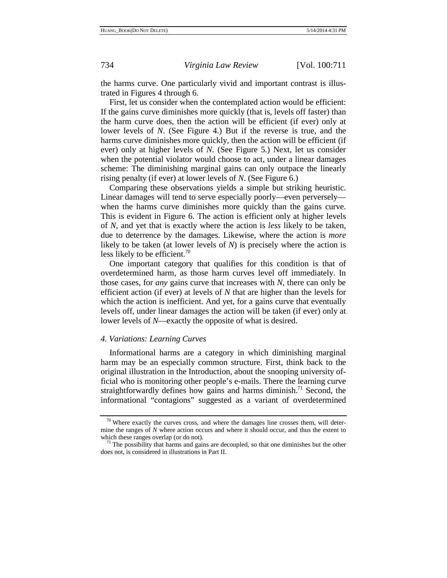the harms curve. One particularly vivid and important contrast is illustrated in Figures 4 through 6.

First, let us consider when the contemplated action would be efficient: If the gains curve diminishes more quickly (that is, levels off faster) than the harm curve does, then the action will be efficient (if ever) only at lower levels of *N*. (See Figure 4.) But if the reverse is true, and the harms curve diminishes more quickly, then the action will be efficient (if ever) only at higher levels of *N*. (See Figure 5.) Next, let us consider when the potential violator would choose to act, under a linear damages scheme: The diminishing marginal gains can only outpace the linearly rising penalty (if ever) at lower levels of *N*. (See Figure 6.)

Comparing these observations yields a simple but striking heuristic. Linear damages will tend to serve especially poorly—even perversely when the harms curve diminishes more quickly than the gains curve. This is evident in Figure 6. The action is efficient only at higher levels of *N*, and yet that is exactly where the action is *less* likely to be taken, due to deterrence by the damages. Likewise, where the action is *more* likely to be taken (at lower levels of *N*) is precisely where the action is less likely to be efficient. $\frac{70}{2}$ 

One important category that qualifies for this condition is that of overdetermined harm, as those harm curves level off immediately. In those cases, for *any* gains curve that increases with *N*, there can only be efficient action (if ever) at levels of *N* that are higher than the levels for which the action is inefficient. And yet, for a gains curve that eventually levels off, under linear damages the action will be taken (if ever) only at lower levels of *N*—exactly the opposite of what is desired.

### *4. Variations: Learning Curves*

Informational harms are a category in which diminishing marginal harm may be an especially common structure. First, think back to the original illustration in the Introduction, about the snooping university official who is monitoring other people's e-mails. There the learning curve straightforwardly defines how gains and harms diminish.<sup>71</sup> Second, the informational "contagions" suggested as a variant of overdetermined

 $70$  Where exactly the curves cross, and where the damages line crosses them, will determine the ranges of *N* where action occurs and where it should occur, and thus the extent to which these ranges overlap (or do not).  $71$  The possibility that harms and gains are decoupled, so that one diminishes but the other

does not, is considered in illustrations in Part II.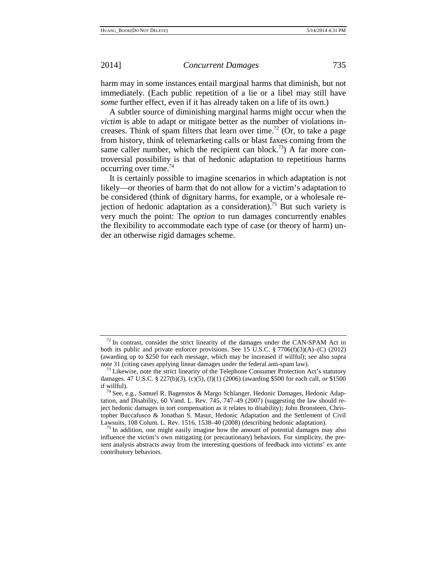harm may in some instances entail marginal harms that diminish, but not immediately. (Each public repetition of a lie or a libel may still have *some* further effect, even if it has already taken on a life of its own.)

A subtler source of diminishing marginal harms might occur when the *victim* is able to adapt or mitigate better as the number of violations increases. Think of spam filters that learn over time.<sup>72</sup> (Or, to take a page from history, think of telemarketing calls or blast faxes coming from the same caller number, which the recipient can block.<sup>73</sup>) A far more controversial possibility is that of hedonic adaptation to repetitious harms occurring over time.74

It is certainly possible to imagine scenarios in which adaptation is not likely—or theories of harm that do not allow for a victim's adaptation to be considered (think of dignitary harms, for example, or a wholesale rejection of hedonic adaptation as a consideration).<sup>75</sup> But such variety is very much the point: The *option* to run damages concurrently enables the flexibility to accommodate each type of case (or theory of harm) under an otherwise rigid damages scheme.

 $72$  In contrast, consider the strict linearity of the damages under the CAN-SPAM Act in both its public and private enforcer provisions. See 15 U.S.C. § 7706(f)(3)(A)–(C) (2012) (awarding up to \$250 for each message, which may be increased if willful); see also supra note 31 (citing cases applying linear damages under the federal anti-spam law). 73 Likewise, note the strict linearity of the Telephone Consumer Protection Act's statutory

damages. 47 U.S.C. § 227(b)(3), (c)(5), (f)(1) (2006) (awarding \$500 for each call, or \$1500 if willful).

<sup>&</sup>lt;sup>74</sup> See, e.g., Samuel R. Bagenstos & Margo Schlanger, Hedonic Damages, Hedonic Adaptation, and Disability, 60 Vand. L. Rev. 745, 747–49 (2007) (suggesting the law should reject hedonic damages in tort compensation as it relates to disability); John Bronsteen, Christopher Buccafusco & Jonathan S. Masur, Hedonic Adaptation and the Settlement of Civil Lawsuits, 108 Colum. L. Rev. 1516, 1538–40 (2008) (describing hedonic adaptation).

 $^{75}$  In addition, one might easily imagine how the amount of potential damages may also influence the victim's own mitigating (or precautionary) behaviors. For simplicity, the present analysis abstracts away from the interesting questions of feedback into victims' ex ante contributory behaviors.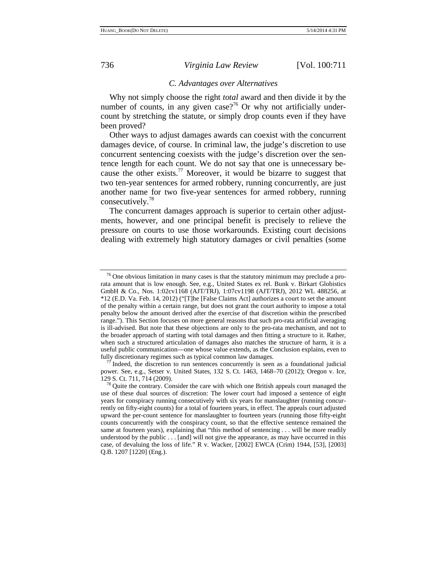### *C. Advantages over Alternatives*

Why not simply choose the right *total* award and then divide it by the number of counts, in any given case?<sup>76</sup> Or why not artificially undercount by stretching the statute, or simply drop counts even if they have been proved?

Other ways to adjust damages awards can coexist with the concurrent damages device, of course. In criminal law, the judge's discretion to use concurrent sentencing coexists with the judge's discretion over the sentence length for each count. We do not say that one is unnecessary because the other exists.<sup>77</sup> Moreover, it would be bizarre to suggest that two ten-year sentences for armed robbery, running concurrently, are just another name for two five-year sentences for armed robbery, running consecutively.<sup>78</sup>

The concurrent damages approach is superior to certain other adjustments, however, and one principal benefit is precisely to relieve the pressure on courts to use those workarounds. Existing court decisions dealing with extremely high statutory damages or civil penalties (some

 $76$  One obvious limitation in many cases is that the statutory minimum may preclude a prorata amount that is low enough. See, e.g., United States ex rel. Bunk v. Birkart Globistics GmbH & Co., Nos. 1:02cv1168 (AJT/TRJ), 1:07cv1198 (AJT/TRJ), 2012 WL 488256, at \*12 (E.D. Va. Feb. 14, 2012) ("[T]he [False Claims Act] authorizes a court to set the amount of the penalty within a certain range, but does not grant the court authority to impose a total penalty below the amount derived after the exercise of that discretion within the prescribed range."). This Section focuses on more general reasons that such pro-rata artificial averaging is ill-advised. But note that these objections are only to the pro-rata mechanism, and not to the broader approach of starting with total damages and then fitting a structure to it. Rather, when such a structured articulation of damages also matches the structure of harm, it is a useful public communication—one whose value extends, as the Conclusion explains, even to

<sup>&</sup>lt;sup>77</sup> Indeed, the discretion to run sentences concurrently is seen as a foundational judicial power. See, e.g., Setser v. United States, 132 S. Ct. 1463, 1468–70 (2012); Oregon v. Ice, 129 S. Ct. 711, 714 (2009). <sup>78</sup> Quite the contrary. Consider the care with which one British appeals court managed the

use of these dual sources of discretion: The lower court had imposed a sentence of eight years for conspiracy running consecutively with six years for manslaughter (running concurrently on fifty-eight counts) for a total of fourteen years, in effect. The appeals court adjusted upward the per-count sentence for manslaughter to fourteen years (running those fifty-eight counts concurrently with the conspiracy count, so that the effective sentence remained the same at fourteen years), explaining that "this method of sentencing . . . will be more readily understood by the public . . . [and] will not give the appearance, as may have occurred in this case, of devaluing the loss of life." R v. Wacker, [2002] EWCA (Crim) 1944, [53], [2003] Q.B. 1207 [1220] (Eng.).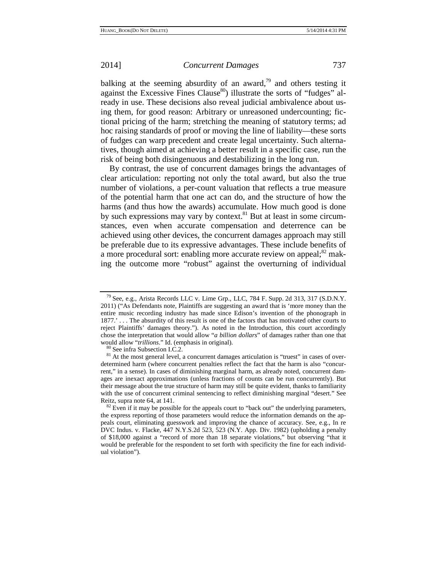balking at the seeming absurdity of an award,<sup>79</sup> and others testing it against the Excessive Fines Clause<sup>80</sup>) illustrate the sorts of "fudges" already in use. These decisions also reveal judicial ambivalence about using them, for good reason: Arbitrary or unreasoned undercounting; fictional pricing of the harm; stretching the meaning of statutory terms; ad hoc raising standards of proof or moving the line of liability—these sorts of fudges can warp precedent and create legal uncertainty. Such alternatives, though aimed at achieving a better result in a specific case, run the risk of being both disingenuous and destabilizing in the long run.

By contrast, the use of concurrent damages brings the advantages of clear articulation: reporting not only the total award, but also the true number of violations, a per-count valuation that reflects a true measure of the potential harm that one act can do, and the structure of how the harms (and thus how the awards) accumulate. How much good is done by such expressions may vary by context. $81$  But at least in some circumstances, even when accurate compensation and deterrence can be achieved using other devices, the concurrent damages approach may still be preferable due to its expressive advantages. These include benefits of a more procedural sort: enabling more accurate review on appeal; $^{82}$  making the outcome more "robust" against the overturning of individual

<sup>&</sup>lt;sup>79</sup> See, e.g., Arista Records LLC v. Lime Grp., LLC, 784 F. Supp. 2d 313, 317 (S.D.N.Y.) 2011) ("As Defendants note, Plaintiffs are suggesting an award that is 'more money than the entire music recording industry has made since Edison's invention of the phonograph in 1877.'... The absurdity of this result is one of the factors that has motivated other courts to reject Plaintiffs' damages theory."). As noted in the Introduction, this court accordingly chose the interpretation that would allow "*a billion dollars*" of damages rather than one that would allow "*trillions*." Id. (emphasis in original).<br><sup>80</sup> See infra Subsection I.C.2.<br><sup>81</sup> At the most general level, a concurrent damages articulation is "truest" in cases of over-

determined harm (where concurrent penalties reflect the fact that the harm is also "concurrent," in a sense). In cases of diminishing marginal harm, as already noted, concurrent damages are inexact approximations (unless fractions of counts can be run concurrently). But their message about the true structure of harm may still be quite evident, thanks to familiarity with the use of concurrent criminal sentencing to reflect diminishing marginal "desert." See Reitz, supra note 64, at 141.

 $82$  Even if it may be possible for the appeals court to "back out" the underlying parameters, the express reporting of those parameters would reduce the information demands on the appeals court, eliminating guesswork and improving the chance of accuracy. See, e.g., In re DVC Indus. v. Flacke, 447 N.Y.S.2d 523, 523 (N.Y. App. Div. 1982) (upholding a penalty of \$18,000 against a "record of more than 18 separate violations," but observing "that it would be preferable for the respondent to set forth with specificity the fine for each individual violation").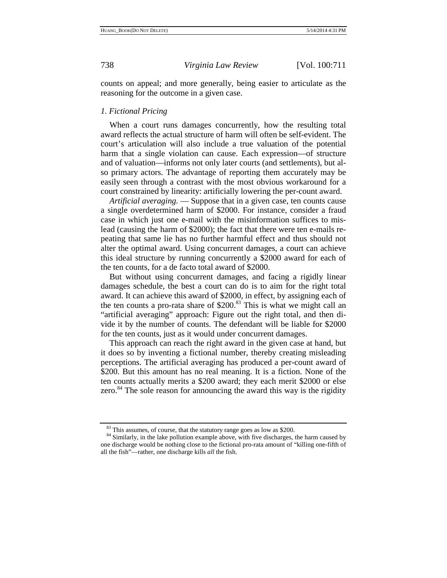counts on appeal; and more generally, being easier to articulate as the reasoning for the outcome in a given case.

### *1. Fictional Pricing*

When a court runs damages concurrently, how the resulting total award reflects the actual structure of harm will often be self-evident. The court's articulation will also include a true valuation of the potential harm that a single violation can cause. Each expression—of structure and of valuation—informs not only later courts (and settlements), but also primary actors. The advantage of reporting them accurately may be easily seen through a contrast with the most obvious workaround for a court constrained by linearity: artificially lowering the per-count award.

*Artificial averaging.* — Suppose that in a given case, ten counts cause a single overdetermined harm of \$2000. For instance, consider a fraud case in which just one e-mail with the misinformation suffices to mislead (causing the harm of \$2000); the fact that there were ten e-mails repeating that same lie has no further harmful effect and thus should not alter the optimal award. Using concurrent damages, a court can achieve this ideal structure by running concurrently a \$2000 award for each of the ten counts, for a de facto total award of \$2000.

But without using concurrent damages, and facing a rigidly linear damages schedule, the best a court can do is to aim for the right total award. It can achieve this award of \$2000, in effect, by assigning each of the ten counts a pro-rata share of  $$200<sup>83</sup>$  This is what we might call an "artificial averaging" approach: Figure out the right total, and then divide it by the number of counts. The defendant will be liable for \$2000 for the ten counts, just as it would under concurrent damages.

This approach can reach the right award in the given case at hand, but it does so by inventing a fictional number, thereby creating misleading perceptions. The artificial averaging has produced a per-count award of \$200. But this amount has no real meaning. It is a fiction. None of the ten counts actually merits a \$200 award; they each merit \$2000 or else zero. $84$  The sole reason for announcing the award this way is the rigidity

<sup>&</sup>lt;sup>83</sup> This assumes, of course, that the statutory range goes as low as \$200. <sup>84</sup> Similarly, in the lake pollution example above, with five discharges, the harm caused by one discharge would be nothing close to the fictional pro-rata amount of "killing one-fifth of all the fish"—rather, one discharge kills *all* the fish.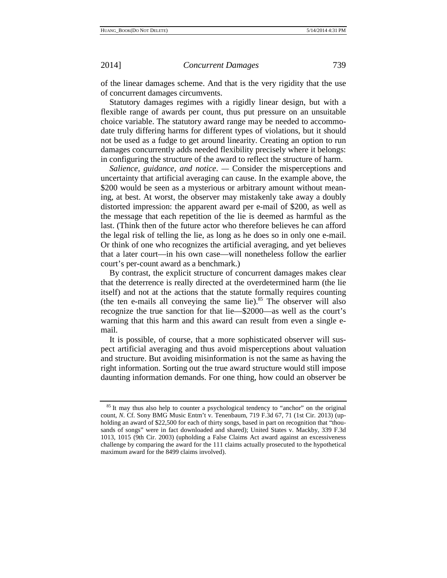of the linear damages scheme. And that is the very rigidity that the use of concurrent damages circumvents.

Statutory damages regimes with a rigidly linear design, but with a flexible range of awards per count, thus put pressure on an unsuitable choice variable. The statutory award range may be needed to accommodate truly differing harms for different types of violations, but it should not be used as a fudge to get around linearity. Creating an option to run damages concurrently adds needed flexibility precisely where it belongs: in configuring the structure of the award to reflect the structure of harm.

*Salience, guidance, and notice*. *—* Consider the misperceptions and uncertainty that artificial averaging can cause. In the example above, the \$200 would be seen as a mysterious or arbitrary amount without meaning, at best. At worst, the observer may mistakenly take away a doubly distorted impression: the apparent award per e-mail of \$200, as well as the message that each repetition of the lie is deemed as harmful as the last. (Think then of the future actor who therefore believes he can afford the legal risk of telling the lie, as long as he does so in only one e-mail. Or think of one who recognizes the artificial averaging, and yet believes that a later court—in his own case—will nonetheless follow the earlier court's per-count award as a benchmark.)

By contrast, the explicit structure of concurrent damages makes clear that the deterrence is really directed at the overdetermined harm (the lie itself) and not at the actions that the statute formally requires counting (the ten e-mails all conveying the same lie). $85$  The observer will also recognize the true sanction for that lie—\$2000—as well as the court's warning that this harm and this award can result from even a single email.

It is possible, of course, that a more sophisticated observer will suspect artificial averaging and thus avoid misperceptions about valuation and structure. But avoiding misinformation is not the same as having the right information. Sorting out the true award structure would still impose daunting information demands. For one thing, how could an observer be

<sup>&</sup>lt;sup>85</sup> It may thus also help to counter a psychological tendency to "anchor" on the original count, *N*. Cf. Sony BMG Music Entm't v. Tenenbaum, 719 F.3d 67, 71 (1st Cir. 2013) (upholding an award of \$22,500 for each of thirty songs, based in part on recognition that "thousands of songs" were in fact downloaded and shared); United States v. Mackby, 339 F.3d 1013, 1015 (9th Cir. 2003) (upholding a False Claims Act award against an excessiveness challenge by comparing the award for the 111 claims actually prosecuted to the hypothetical maximum award for the 8499 claims involved).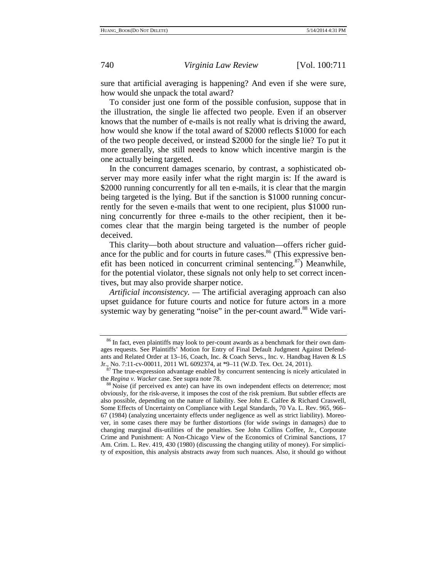sure that artificial averaging is happening? And even if she were sure, how would she unpack the total award?

To consider just one form of the possible confusion, suppose that in the illustration, the single lie affected two people. Even if an observer knows that the number of e-mails is not really what is driving the award, how would she know if the total award of \$2000 reflects \$1000 for each of the two people deceived, or instead \$2000 for the single lie? To put it more generally, she still needs to know which incentive margin is the one actually being targeted.

In the concurrent damages scenario, by contrast, a sophisticated observer may more easily infer what the right margin is: If the award is \$2000 running concurrently for all ten e-mails, it is clear that the margin being targeted is the lying. But if the sanction is \$1000 running concurrently for the seven e-mails that went to one recipient, plus \$1000 running concurrently for three e-mails to the other recipient, then it becomes clear that the margin being targeted is the number of people deceived.

This clarity—both about structure and valuation—offers richer guidance for the public and for courts in future cases.<sup>86</sup> (This expressive benefit has been noticed in concurrent criminal sentencing.<sup>87</sup>) Meanwhile, for the potential violator, these signals not only help to set correct incentives, but may also provide sharper notice.

*Artificial inconsistency. —* The artificial averaging approach can also upset guidance for future courts and notice for future actors in a more systemic way by generating "noise" in the per-count award.<sup>88</sup> Wide vari-

<sup>&</sup>lt;sup>86</sup> In fact, even plaintiffs may look to per-count awards as a benchmark for their own damages requests. See Plaintiffs' Motion for Entry of Final Default Judgment Against Defendants and Related Order at 13–16, Coach, Inc. & Coach Servs., Inc. v. Handbag Haven & LS Jr., No. 7:11-cv-00011, 2011 WL 6092374, at \*9–11 (W.D. Tex. Oct. 24, 2011).<br><sup>87</sup> The true-expression advantage enabled by concurrent sentencing is nicely articulated in

the *Regina v. Wacker* case. See supra note 78.<br><sup>88</sup> Noise (if perceived ex ante) can have its own independent effects on deterrence; most

obviously, for the risk-averse, it imposes the cost of the risk premium. But subtler effects are also possible, depending on the nature of liability. See John E. Calfee & Richard Craswell, Some Effects of Uncertainty on Compliance with Legal Standards, 70 Va. L. Rev. 965, 966– 67 (1984) (analyzing uncertainty effects under negligence as well as strict liability). Moreover, in some cases there may be further distortions (for wide swings in damages) due to changing marginal dis-utilities of the penalties. See John Collins Coffee, Jr., Corporate Crime and Punishment: A Non-Chicago View of the Economics of Criminal Sanctions, 17 Am. Crim. L. Rev. 419, 430 (1980) (discussing the changing utility of money). For simplicity of exposition, this analysis abstracts away from such nuances. Also, it should go without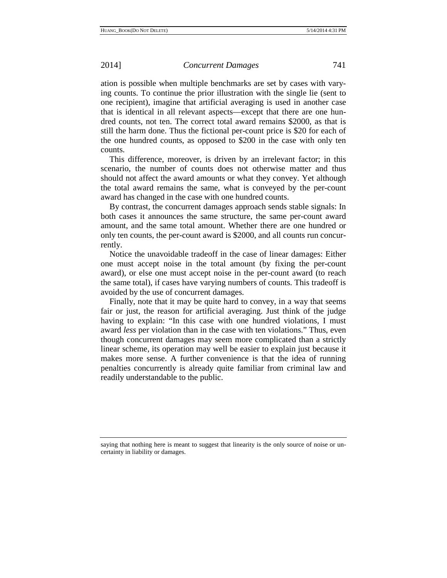ation is possible when multiple benchmarks are set by cases with varying counts. To continue the prior illustration with the single lie (sent to one recipient), imagine that artificial averaging is used in another case that is identical in all relevant aspects—except that there are one hundred counts, not ten. The correct total award remains \$2000, as that is still the harm done. Thus the fictional per-count price is \$20 for each of the one hundred counts, as opposed to \$200 in the case with only ten counts.

This difference, moreover, is driven by an irrelevant factor; in this scenario, the number of counts does not otherwise matter and thus should not affect the award amounts or what they convey. Yet although the total award remains the same, what is conveyed by the per-count award has changed in the case with one hundred counts.

By contrast, the concurrent damages approach sends stable signals: In both cases it announces the same structure, the same per-count award amount, and the same total amount. Whether there are one hundred or only ten counts, the per-count award is \$2000, and all counts run concurrently.

Notice the unavoidable tradeoff in the case of linear damages: Either one must accept noise in the total amount (by fixing the per-count award), or else one must accept noise in the per-count award (to reach the same total), if cases have varying numbers of counts. This tradeoff is avoided by the use of concurrent damages.

Finally, note that it may be quite hard to convey, in a way that seems fair or just, the reason for artificial averaging. Just think of the judge having to explain: "In this case with one hundred violations, I must award *less* per violation than in the case with ten violations." Thus, even though concurrent damages may seem more complicated than a strictly linear scheme, its operation may well be easier to explain just because it makes more sense. A further convenience is that the idea of running penalties concurrently is already quite familiar from criminal law and readily understandable to the public.

saying that nothing here is meant to suggest that linearity is the only source of noise or uncertainty in liability or damages.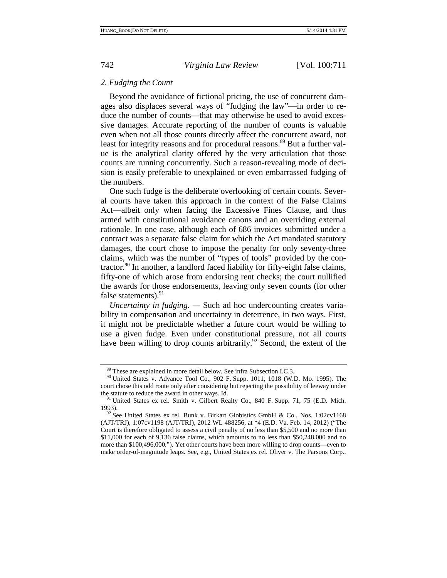### *2. Fudging the Count*

Beyond the avoidance of fictional pricing, the use of concurrent damages also displaces several ways of "fudging the law"—in order to reduce the number of counts—that may otherwise be used to avoid excessive damages. Accurate reporting of the number of counts is valuable even when not all those counts directly affect the concurrent award, not least for integrity reasons and for procedural reasons.<sup>89</sup> But a further value is the analytical clarity offered by the very articulation that those counts are running concurrently. Such a reason-revealing mode of decision is easily preferable to unexplained or even embarrassed fudging of the numbers.

One such fudge is the deliberate overlooking of certain counts. Several courts have taken this approach in the context of the False Claims Act—albeit only when facing the Excessive Fines Clause, and thus armed with constitutional avoidance canons and an overriding external rationale. In one case, although each of 686 invoices submitted under a contract was a separate false claim for which the Act mandated statutory damages, the court chose to impose the penalty for only seventy-three claims, which was the number of "types of tools" provided by the contractor.<sup>90</sup> In another, a landlord faced liability for fifty-eight false claims, fifty-one of which arose from endorsing rent checks; the court nullified the awards for those endorsements, leaving only seven counts (for other false statements). $91$ 

*Uncertainty in fudging. —* Such ad hoc undercounting creates variability in compensation and uncertainty in deterrence, in two ways. First, it might not be predictable whether a future court would be willing to use a given fudge. Even under constitutional pressure, not all courts have been willing to drop counts arbitrarily.<sup>92</sup> Second, the extent of the

<sup>89</sup> These are explained in more detail below. See infra Subsection I.C.3. 90 United States v. Advance Tool Co., 902 F. Supp. 1011, 1018 (W.D. Mo. 1995). The court chose this odd route only after considering but rejecting the possibility of leeway under the statute to reduce the award in other ways. Id. <sup>91</sup> United States ex rel. Smith v. Gilbert Realty Co., 840 F. Supp. 71, 75 (E.D. Mich.

<sup>1993).&</sup>lt;br><sup>92</sup> See United States ex rel. Bunk v. Birkart Globistics GmbH & Co., Nos. 1:02cv1168 (AJT/TRJ), 1:07cv1198 (AJT/TRJ), 2012 WL 488256, at \*4 (E.D. Va. Feb. 14, 2012) ("The Court is therefore obligated to assess a civil penalty of no less than \$5,500 and no more than \$11,000 for each of 9,136 false claims, which amounts to no less than \$50,248,000 and no more than \$100,496,000."). Yet other courts have been more willing to drop counts—even to make order-of-magnitude leaps. See, e.g., United States ex rel. Oliver v. The Parsons Corp.,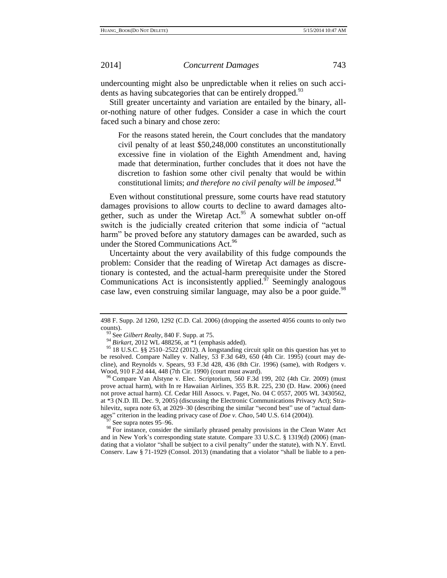undercounting might also be unpredictable when it relies on such accidents as having subcategories that can be entirely dropped.<sup>93</sup>

Still greater uncertainty and variation are entailed by the binary, allor-nothing nature of other fudges. Consider a case in which the court faced such a binary and chose zero:

For the reasons stated herein, the Court concludes that the mandatory civil penalty of at least \$50,248,000 constitutes an unconstitutionally excessive fine in violation of the Eighth Amendment and, having made that determination, further concludes that it does not have the discretion to fashion some other civil penalty that would be within constitutional limits; *and therefore no civil penalty will be imposed*. 94

<span id="page-33-0"></span>Even without constitutional pressure, some courts have read statutory damages provisions to allow courts to decline to award damages altogether, such as under the Wiretap Act.<sup>95</sup> A somewhat subtler on-off switch is the judicially created criterion that some indicia of "actual harm" be proved before any statutory damages can be awarded, such as under the Stored Communications Act.<sup>96</sup>

<span id="page-33-1"></span>Uncertainty about the very availability of this fudge compounds the problem: Consider that the reading of Wiretap Act damages as discretionary is contested, and the actual-harm prerequisite under the Stored Communications Act is inconsistently applied. $\frac{97}{7}$  Seemingly analogous case law, even construing similar language, may also be a poor guide.<sup>98</sup>

 $97$  See supra note[s 95](#page-33-0)[–96.](#page-33-1)

98 For instance, consider the similarly phrased penalty provisions in the Clean Water Act and in New York's corresponding state statute. Compare 33 U.S.C. § 1319(d) (2006) (mandating that a violator "shall be subject to a civil penalty" under the statute), with N.Y. Envtl. Conserv. Law § 71-1929 (Consol. 2013) (mandating that a violator "shall be liable to a pen-

<sup>498</sup> F. Supp. 2d 1260, 1292 (C.D. Cal. 2006) (dropping the asserted 4056 counts to only two counts).

<sup>93</sup> See *Gilbert Realty*, 840 F. Supp. at 75.

<sup>94</sup> *Birkart*, 2012 WL 488256, at \*1 (emphasis added).

<sup>95</sup> 18 U.S.C. §§ 2510–2522 (2012). A longstanding circuit split on this question has yet to be resolved. Compare Nalley v. Nalley, 53 F.3d 649, 650 (4th Cir. 1995) (court may decline), and Reynolds v. Spears, 93 F.3d 428, 436 (8th Cir. 1996) (same), with Rodgers v. Wood, 910 F.2d 444, 448 (7th Cir. 1990) (court must award).

<sup>96</sup> Compare Van Alstyne v. Elec. Scriptorium, 560 F.3d 199, 202 (4th Cir. 2009) (must prove actual harm), with In re Hawaiian Airlines, 355 B.R. 225, 230 (D. Haw. 2006) (need not prove actual harm). Cf. Cedar Hill Assocs. v. Paget, No. 04 C 0557, 2005 WL 3430562, at \*3 (N.D. Ill. Dec. 9, 2005) (discussing the Electronic Communications Privacy Act); Strahilevitz, supra note 63, at 2029–30 (describing the similar "second best" use of "actual damages" criterion in the leading privacy case of *Doe v. Chao*, 540 U.S. 614 (2004)).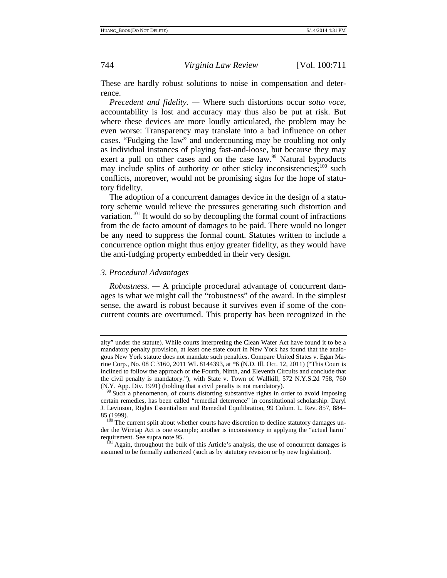These are hardly robust solutions to noise in compensation and deterrence.

*Precedent and fidelity. —* Where such distortions occur *sotto voce*, accountability is lost and accuracy may thus also be put at risk. But where these devices are more loudly articulated, the problem may be even worse: Transparency may translate into a bad influence on other cases. "Fudging the law" and undercounting may be troubling not only as individual instances of playing fast-and-loose, but because they may exert a pull on other cases and on the case law.<sup>99</sup> Natural byproducts may include splits of authority or other sticky inconsistencies; $100$  such conflicts, moreover, would not be promising signs for the hope of statutory fidelity.

The adoption of a concurrent damages device in the design of a statutory scheme would relieve the pressures generating such distortion and variation.<sup>101</sup> It would do so by decoupling the formal count of infractions from the de facto amount of damages to be paid. There would no longer be any need to suppress the formal count. Statutes written to include a concurrence option might thus enjoy greater fidelity, as they would have the anti-fudging property embedded in their very design.

# *3. Procedural Advantages*

*Robustness. —* A principle procedural advantage of concurrent damages is what we might call the "robustness" of the award. In the simplest sense, the award is robust because it survives even if some of the concurrent counts are overturned. This property has been recognized in the

alty" under the statute). While courts interpreting the Clean Water Act have found it to be a mandatory penalty provision, at least one state court in New York has found that the analogous New York statute does not mandate such penalties. Compare United States v. Egan Marine Corp., No. 08 C 3160, 2011 WL 8144393, at \*6 (N.D. Ill. Oct. 12, 2011) ("This Court is inclined to follow the approach of the Fourth, Ninth, and Eleventh Circuits and conclude that the civil penalty is mandatory."), with State v. Town of Wallkill, 572 N.Y.S.2d 758, 760 (N.Y. App. Div. 1991) (holding that a civil penalty is not mandatory).

Such a phenomenon, of courts distorting substantive rights in order to avoid imposing certain remedies, has been called "remedial deterrence" in constitutional scholarship. Daryl J. Levinson, Rights Essentialism and Remedial Equilibration, 99 Colum. L. Rev. 857, 884– 85 (1999).<br><sup>100</sup> The current split about whether courts have discretion to decline statutory damages un-

der the Wiretap Act is one example; another is inconsistency in applying the "actual harm" requirement. See supra note 95. 101 Again, throughout the bulk of this Article's analysis, the use of concurrent damages is

assumed to be formally authorized (such as by statutory revision or by new legislation).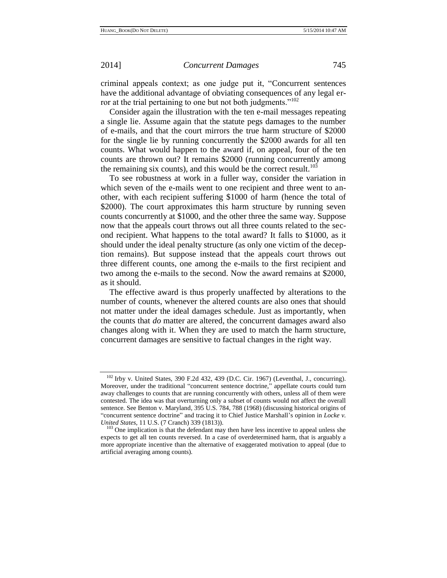criminal appeals context; as one judge put it, "Concurrent sentences have the additional advantage of obviating consequences of any legal error at the trial pertaining to one but not both judgments."<sup>102</sup>

Consider again the illustration with the ten e-mail messages repeating a single lie. Assume again that the statute pegs damages to the number of e-mails, and that the court mirrors the true harm structure of \$2000 for the single lie by running concurrently the \$2000 awards for all ten counts. What would happen to the award if, on appeal, four of the ten counts are thrown out? It remains \$2000 (running concurrently among the remaining six counts), and this would be the correct result. $^{103}$ 

To see robustness at work in a fuller way, consider the variation in which seven of the e-mails went to one recipient and three went to another, with each recipient suffering \$1000 of harm (hence the total of \$2000). The court approximates this harm structure by running seven counts concurrently at \$1000, and the other three the same way. Suppose now that the appeals court throws out all three counts related to the second recipient. What happens to the total award? It falls to \$1000, as it should under the ideal penalty structure (as only one victim of the deception remains). But suppose instead that the appeals court throws out three different counts, one among the e-mails to the first recipient and two among the e-mails to the second. Now the award remains at \$2000, as it should.

The effective award is thus properly unaffected by alterations to the number of counts, whenever the altered counts are also ones that should not matter under the ideal damages schedule. Just as importantly, when the counts that *do* matter are altered, the concurrent damages award also changes along with it. When they are used to match the harm structure, concurrent damages are sensitive to factual changes in the right way.

<sup>102</sup> Irby v. United States, 390 F.2d 432, 439 (D.C. Cir. 1967) (Leventhal, J., concurring). Moreover, under the traditional "concurrent sentence doctrine," appellate courts could turn away challenges to counts that are running concurrently with others, unless all of them were contested. The idea was that overturning only a subset of counts would not affect the overall sentence. See Benton v. Maryland, 395 U.S. 784, 788 (1968) (discussing historical origins of "concurrent sentence doctrine" and tracing it to Chief Justice Marshall's opinion in *Locke v. United States*, 11 U.S. (7 Cranch) 339 (1813)).

<sup>&</sup>lt;sup>103</sup> One implication is that the defendant may then have less incentive to appeal unless she expects to get all ten counts reversed. In a case of overdetermined harm, that is arguably a more appropriate incentive than the alternative of exaggerated motivation to appeal (due to artificial averaging among counts).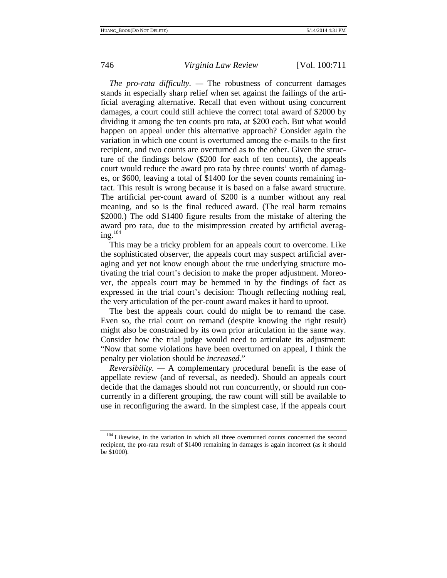*The pro-rata difficulty. —* The robustness of concurrent damages stands in especially sharp relief when set against the failings of the artificial averaging alternative. Recall that even without using concurrent damages, a court could still achieve the correct total award of \$2000 by dividing it among the ten counts pro rata, at \$200 each. But what would happen on appeal under this alternative approach? Consider again the variation in which one count is overturned among the e-mails to the first recipient, and two counts are overturned as to the other. Given the structure of the findings below (\$200 for each of ten counts), the appeals court would reduce the award pro rata by three counts' worth of damages, or \$600, leaving a total of \$1400 for the seven counts remaining intact. This result is wrong because it is based on a false award structure. The artificial per-count award of \$200 is a number without any real meaning, and so is the final reduced award. (The real harm remains \$2000.) The odd \$1400 figure results from the mistake of altering the award pro rata, due to the misimpression created by artificial averaging. $104$ 

This may be a tricky problem for an appeals court to overcome. Like the sophisticated observer, the appeals court may suspect artificial averaging and yet not know enough about the true underlying structure motivating the trial court's decision to make the proper adjustment. Moreover, the appeals court may be hemmed in by the findings of fact as expressed in the trial court's decision: Though reflecting nothing real, the very articulation of the per-count award makes it hard to uproot.

The best the appeals court could do might be to remand the case. Even so, the trial court on remand (despite knowing the right result) might also be constrained by its own prior articulation in the same way. Consider how the trial judge would need to articulate its adjustment: "Now that some violations have been overturned on appeal, I think the penalty per violation should be *increased*."

*Reversibility. —* A complementary procedural benefit is the ease of appellate review (and of reversal, as needed). Should an appeals court decide that the damages should not run concurrently, or should run concurrently in a different grouping, the raw count will still be available to use in reconfiguring the award. In the simplest case, if the appeals court

<sup>&</sup>lt;sup>104</sup> Likewise, in the variation in which all three overturned counts concerned the second recipient, the pro-rata result of \$1400 remaining in damages is again incorrect (as it should be \$1000).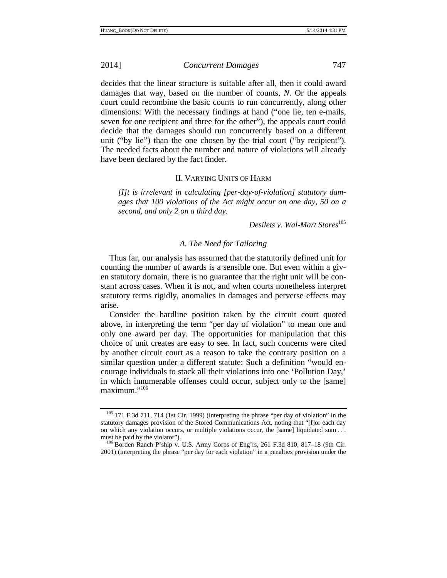decides that the linear structure is suitable after all, then it could award damages that way, based on the number of counts, *N*. Or the appeals court could recombine the basic counts to run concurrently, along other dimensions: With the necessary findings at hand ("one lie, ten e-mails, seven for one recipient and three for the other"), the appeals court could decide that the damages should run concurrently based on a different unit ("by lie") than the one chosen by the trial court ("by recipient"). The needed facts about the number and nature of violations will already have been declared by the fact finder.

# II. VARYING UNITS OF HARM

*[I]t is irrelevant in calculating [per-day-of-violation] statutory damages that 100 violations of the Act might occur on one day, 50 on a second, and only 2 on a third day.* 

*Desilets v. Wal-Mart Stores*<sup>105</sup>

# *A. The Need for Tailoring*

Thus far, our analysis has assumed that the statutorily defined unit for counting the number of awards is a sensible one. But even within a given statutory domain, there is no guarantee that the right unit will be constant across cases. When it is not, and when courts nonetheless interpret statutory terms rigidly, anomalies in damages and perverse effects may arise.

Consider the hardline position taken by the circuit court quoted above, in interpreting the term "per day of violation" to mean one and only one award per day. The opportunities for manipulation that this choice of unit creates are easy to see. In fact, such concerns were cited by another circuit court as a reason to take the contrary position on a similar question under a different statute: Such a definition "would encourage individuals to stack all their violations into one 'Pollution Day,' in which innumerable offenses could occur, subject only to the [same] maximum."<sup>106</sup>

<sup>105</sup> 171 F.3d 711, 714 (1st Cir. 1999) (interpreting the phrase "per day of violation" in the statutory damages provision of the Stored Communications Act, noting that "[f]or each day on which any violation occurs, or multiple violations occur, the [same] liquidated sum . . . must be paid by the violator").<br><sup>106</sup> Borden Ranch P'ship v. U.S. Army Corps of Eng'rs, 261 F.3d 810, 817–18 (9th Cir.

<sup>2001) (</sup>interpreting the phrase "per day for each violation" in a penalties provision under the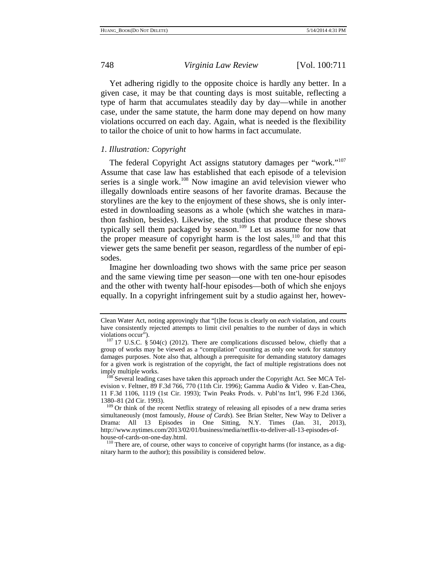Yet adhering rigidly to the opposite choice is hardly any better. In a given case, it may be that counting days is most suitable, reflecting a type of harm that accumulates steadily day by day—while in another case, under the same statute, the harm done may depend on how many violations occurred on each day. Again, what is needed is the flexibility to tailor the choice of unit to how harms in fact accumulate.

# *1. Illustration: Copyright*

The federal Copyright Act assigns statutory damages per "work."<sup>107</sup> Assume that case law has established that each episode of a television series is a single work.<sup>108</sup> Now imagine an avid television viewer who illegally downloads entire seasons of her favorite dramas. Because the storylines are the key to the enjoyment of these shows, she is only interested in downloading seasons as a whole (which she watches in marathon fashion, besides). Likewise, the studios that produce these shows typically sell them packaged by season.<sup>109</sup> Let us assume for now that the proper measure of copyright harm is the lost sales, $110$  and that this viewer gets the same benefit per season, regardless of the number of episodes.

Imagine her downloading two shows with the same price per season and the same viewing time per season—one with ten one-hour episodes and the other with twenty half-hour episodes—both of which she enjoys equally. In a copyright infringement suit by a studio against her, howev-

nitary harm to the author); this possibility is considered below.

Clean Water Act, noting approvingly that "[t]he focus is clearly on *each* violation, and courts have consistently rejected attempts to limit civil penalties to the number of days in which

violations occur"). 107 17 U.S.C. § 504(c) (2012). There are complications discussed below, chiefly that a group of works may be viewed as a "compilation" counting as only one work for statutory damages purposes. Note also that, although a prerequisite for demanding statutory damages for a given work is registration of the copyright, the fact of multiple registrations does not

imply multiple works.<br><sup>108</sup> Several leading cases have taken this approach under the Copyright Act. See MCA Television v. Feltner, 89 F.3d 766, 770 (11th Cir. 1996); Gamma Audio & Video v. Ean-Chea, 11 F.3d 1106, 1119 (1st Cir. 1993); Twin Peaks Prods. v. Publ'ns Int'l, 996 F.2d 1366,

<sup>&</sup>lt;sup>109</sup> Or think of the recent Netflix strategy of releasing all episodes of a new drama series simultaneously (most famously, *House of Cards*). See Brian Stelter, New Way to Deliver a Drama: All 13 Episodes in One Sitting, N.Y. Times (Jan. 31, 2013), http://www.nytimes.com/2013/02/01/business/media/netflix-to-deliver-all-13-episodes-ofhouse-of-cards-on-one-day.html.<br><sup>110</sup> There are, of course, other ways to conceive of copyright harms (for instance, as a dig-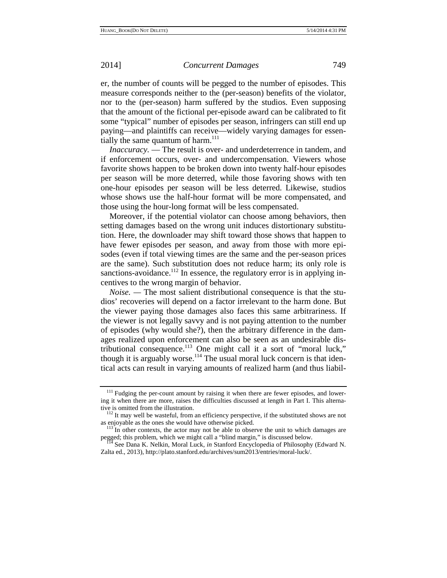er, the number of counts will be pegged to the number of episodes. This measure corresponds neither to the (per-season) benefits of the violator, nor to the (per-season) harm suffered by the studios. Even supposing that the amount of the fictional per-episode award can be calibrated to fit some "typical" number of episodes per season, infringers can still end up paying—and plaintiffs can receive—widely varying damages for essentially the same quantum of harm.<sup>111</sup>

*Inaccuracy.* — The result is over- and underdeterrence in tandem, and if enforcement occurs, over- and undercompensation. Viewers whose favorite shows happen to be broken down into twenty half-hour episodes per season will be more deterred, while those favoring shows with ten one-hour episodes per season will be less deterred. Likewise, studios whose shows use the half-hour format will be more compensated, and those using the hour-long format will be less compensated.

Moreover, if the potential violator can choose among behaviors, then setting damages based on the wrong unit induces distortionary substitution. Here, the downloader may shift toward those shows that happen to have fewer episodes per season, and away from those with more episodes (even if total viewing times are the same and the per-season prices are the same). Such substitution does not reduce harm; its only role is sanctions-avoidance.<sup>112</sup> In essence, the regulatory error is in applying incentives to the wrong margin of behavior.

*Noise. —* The most salient distributional consequence is that the studios' recoveries will depend on a factor irrelevant to the harm done. But the viewer paying those damages also faces this same arbitrariness. If the viewer is not legally savvy and is not paying attention to the number of episodes (why would she?), then the arbitrary difference in the damages realized upon enforcement can also be seen as an undesirable distributional consequence.113 One might call it a sort of "moral luck," though it is arguably worse.<sup>114</sup> The usual moral luck concern is that identical acts can result in varying amounts of realized harm (and thus liabil-

<sup>&</sup>lt;sup>111</sup> Fudging the per-count amount by raising it when there are fewer episodes, and lowering it when there are more, raises the difficulties discussed at length in Part I. This alterna-

tive is omitted from the illustration.<br><sup>112</sup> It may well be wasteful, from an efficiency perspective, if the substituted shows are not as enjoyable as the ones she would have otherwise picked.  $113$  In other contexts, the actor may not be able to observe the unit to which damages are

pegged; this problem, which we might call a "blind margin," is discussed below.<br><sup>114</sup> See Dana K. Nelkin, Moral Luck, *in* Stanford Encyclopedia of Philosophy (Edward N.

Zalta ed., 2013), http://plato.stanford.edu/archives/sum2013/entries/moral-luck/.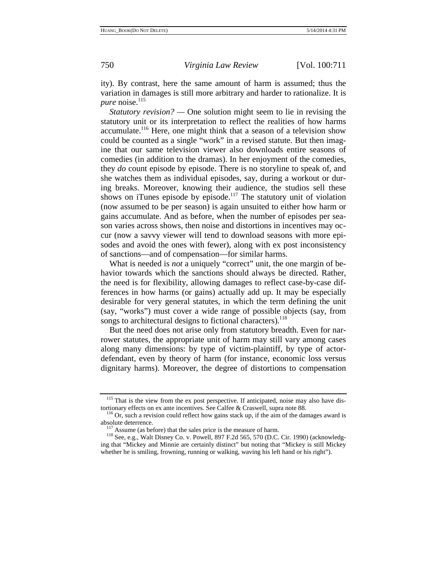ity). By contrast, here the same amount of harm is assumed; thus the variation in damages is still more arbitrary and harder to rationalize. It is *pure* noise. $^{115}$ 

*Statutory revision?* — One solution might seem to lie in revising the statutory unit or its interpretation to reflect the realities of how harms accumulate.116 Here, one might think that a season of a television show could be counted as a single "work" in a revised statute. But then imagine that our same television viewer also downloads entire seasons of comedies (in addition to the dramas). In her enjoyment of the comedies, they *do* count episode by episode. There is no storyline to speak of, and she watches them as individual episodes, say, during a workout or during breaks. Moreover, knowing their audience, the studios sell these shows on iTunes episode by episode.<sup>117</sup> The statutory unit of violation (now assumed to be per season) is again unsuited to either how harm or gains accumulate. And as before, when the number of episodes per season varies across shows, then noise and distortions in incentives may occur (now a savvy viewer will tend to download seasons with more episodes and avoid the ones with fewer), along with ex post inconsistency of sanctions—and of compensation—for similar harms.

What is needed is *not* a uniquely "correct" unit, the one margin of behavior towards which the sanctions should always be directed. Rather, the need is for flexibility, allowing damages to reflect case-by-case differences in how harms (or gains) actually add up. It may be especially desirable for very general statutes, in which the term defining the unit (say, "works") must cover a wide range of possible objects (say, from songs to architectural designs to fictional characters).<sup>118</sup>

But the need does not arise only from statutory breadth. Even for narrower statutes, the appropriate unit of harm may still vary among cases along many dimensions: by type of victim-plaintiff, by type of actordefendant, even by theory of harm (for instance, economic loss versus dignitary harms). Moreover, the degree of distortions to compensation

<sup>&</sup>lt;sup>115</sup> That is the view from the ex post perspective. If anticipated, noise may also have dis-

tortionary effects on ex ante incentives. See Calfee & Craswell, supra note 88.  $^{116}$  Or, such a revision could reflect how gains stack up, if the aim of the damages award is absolute deterrence.

<sup>&</sup>lt;sup>117</sup> Assume (as before) that the sales price is the measure of harm.<br><sup>118</sup> See, e.g., Walt Disney Co. v. Powell, 897 F.2d 565, 570 (D.C. Cir. 1990) (acknowledging that "Mickey and Minnie are certainly distinct" but noting that "Mickey is still Mickey whether he is smiling, frowning, running or walking, waving his left hand or his right").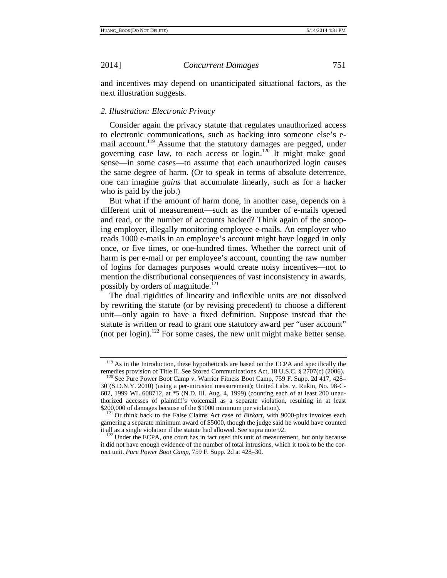and incentives may depend on unanticipated situational factors, as the next illustration suggests.

### *2. Illustration: Electronic Privacy*

Consider again the privacy statute that regulates unauthorized access to electronic communications, such as hacking into someone else's email account.<sup>119</sup> Assume that the statutory damages are pegged, under governing case law, to each access or  $\log_{10}$ <sup>120</sup> It might make good sense—in some cases—to assume that each unauthorized login causes the same degree of harm. (Or to speak in terms of absolute deterrence, one can imagine *gains* that accumulate linearly, such as for a hacker who is paid by the job.)

But what if the amount of harm done, in another case, depends on a different unit of measurement—such as the number of e-mails opened and read, or the number of accounts hacked? Think again of the snooping employer, illegally monitoring employee e-mails. An employer who reads 1000 e-mails in an employee's account might have logged in only once, or five times, or one-hundred times. Whether the correct unit of harm is per e-mail or per employee's account, counting the raw number of logins for damages purposes would create noisy incentives—not to mention the distributional consequences of vast inconsistency in awards, possibly by orders of magnitude.<sup>121</sup>

The dual rigidities of linearity and inflexible units are not dissolved by rewriting the statute (or by revising precedent) to choose a different unit—only again to have a fixed definition. Suppose instead that the statute is written or read to grant one statutory award per "user account" (not per login).<sup>122</sup> For some cases, the new unit might make better sense.

<sup>&</sup>lt;sup>119</sup> As in the Introduction, these hypotheticals are based on the ECPA and specifically the remedies provision of Title II. See Stored Communications Act, 18 U.S.C. § 2707(c) (2006). <sup>120</sup> See Pure Power Boot Camp v. Warrior Fitness Boot Camp, 759 F. Supp. 2d 417, 428–

<sup>30 (</sup>S.D.N.Y. 2010) (using a per-intrusion measurement); United Labs. v. Rukin, No. 98-C-602, 1999 WL 608712, at \*5 (N.D. Ill. Aug. 4, 1999) (counting each of at least 200 unauthorized accesses of plaintiff's voicemail as a separate violation, resulting in at least

<sup>\$200,000</sup> of damages because of the \$1000 minimum per violation). 121 Or think back to the False Claims Act case of *Birkart*, with 9000-plus invoices each garnering a separate minimum award of \$5000, though the judge said he would have counted it all as a single violation if the statute had allowed. See supra note 92.

 $122$  Under the ECPA, one court has in fact used this unit of measurement, but only because it did not have enough evidence of the number of total intrusions, which it took to be the correct unit. *Pure Power Boot Camp*, 759 F. Supp. 2d at 428–30.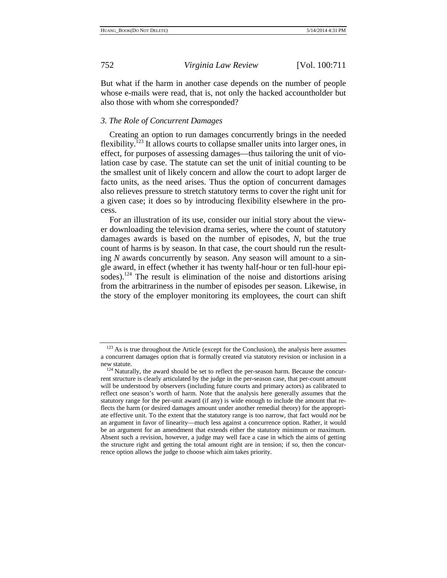But what if the harm in another case depends on the number of people whose e-mails were read, that is, not only the hacked accountholder but also those with whom she corresponded?

# *3. The Role of Concurrent Damages*

Creating an option to run damages concurrently brings in the needed flexibility.<sup>123</sup> It allows courts to collapse smaller units into larger ones, in effect, for purposes of assessing damages—thus tailoring the unit of violation case by case. The statute can set the unit of initial counting to be the smallest unit of likely concern and allow the court to adopt larger de facto units, as the need arises. Thus the option of concurrent damages also relieves pressure to stretch statutory terms to cover the right unit for a given case; it does so by introducing flexibility elsewhere in the process.

For an illustration of its use, consider our initial story about the viewer downloading the television drama series, where the count of statutory damages awards is based on the number of episodes, *N*, but the true count of harms is by season. In that case, the court should run the resulting *N* awards concurrently by season. Any season will amount to a single award, in effect (whether it has twenty half-hour or ten full-hour episodes).<sup>124</sup> The result is elimination of the noise and distortions arising from the arbitrariness in the number of episodes per season. Likewise, in the story of the employer monitoring its employees, the court can shift

 $123$  As is true throughout the Article (except for the Conclusion), the analysis here assumes a concurrent damages option that is formally created via statutory revision or inclusion in a

new statute.<br><sup>124</sup> Naturally, the award should be set to reflect the per-season harm. Because the concurrent structure is clearly articulated by the judge in the per-season case, that per-count amount will be understood by observers (including future courts and primary actors) as calibrated to reflect one season's worth of harm. Note that the analysis here generally assumes that the statutory range for the per-unit award (if any) is wide enough to include the amount that reflects the harm (or desired damages amount under another remedial theory) for the appropriate effective unit. To the extent that the statutory range is too narrow, that fact would *not* be an argument in favor of linearity—much less against a concurrence option. Rather, it would be an argument for an amendment that extends either the statutory minimum or maximum. Absent such a revision, however, a judge may well face a case in which the aims of getting the structure right and getting the total amount right are in tension; if so, then the concurrence option allows the judge to choose which aim takes priority.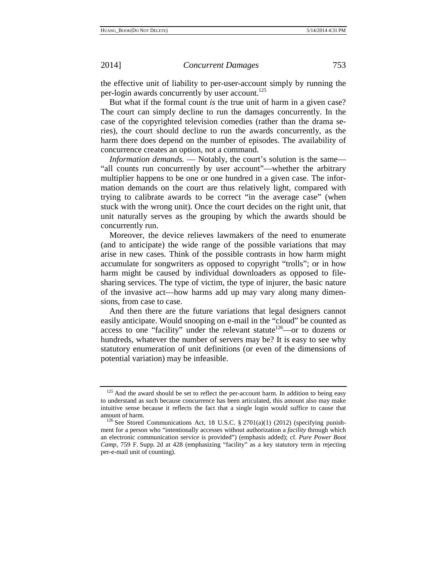the effective unit of liability to per-user-account simply by running the per-login awards concurrently by user account.<sup>125</sup>

But what if the formal count *is* the true unit of harm in a given case? The court can simply decline to run the damages concurrently. In the case of the copyrighted television comedies (rather than the drama series), the court should decline to run the awards concurrently, as the harm there does depend on the number of episodes. The availability of concurrence creates an option, not a command.

*Information demands.* — Notably, the court's solution is the same— "all counts run concurrently by user account"—whether the arbitrary multiplier happens to be one or one hundred in a given case. The information demands on the court are thus relatively light, compared with trying to calibrate awards to be correct "in the average case" (when stuck with the wrong unit). Once the court decides on the right unit, that unit naturally serves as the grouping by which the awards should be concurrently run.

Moreover, the device relieves lawmakers of the need to enumerate (and to anticipate) the wide range of the possible variations that may arise in new cases. Think of the possible contrasts in how harm might accumulate for songwriters as opposed to copyright "trolls"; or in how harm might be caused by individual downloaders as opposed to filesharing services. The type of victim, the type of injurer, the basic nature of the invasive act—how harms add up may vary along many dimensions, from case to case.

And then there are the future variations that legal designers cannot easily anticipate. Would snooping on e-mail in the "cloud" be counted as access to one "facility" under the relevant statute<sup>126</sup>—or to dozens or hundreds, whatever the number of servers may be? It is easy to see why statutory enumeration of unit definitions (or even of the dimensions of potential variation) may be infeasible.

<sup>&</sup>lt;sup>125</sup> And the award should be set to reflect the per-account harm. In addition to being easy to understand as such because concurrence has been articulated, this amount also may make intuitive sense because it reflects the fact that a single login would suffice to cause that

amount of harm.<br><sup>126</sup> See Stored Communications Act, 18 U.S.C. § 2701(a)(1) (2012) (specifying punishment for a person who "intentionally accesses without authorization a *facility* through which an electronic communication service is provided") (emphasis added); cf. *Pure Power Boot Camp*, 759 F. Supp. 2d at 428 (emphasizing "facility" as a key statutory term in rejecting per-e-mail unit of counting).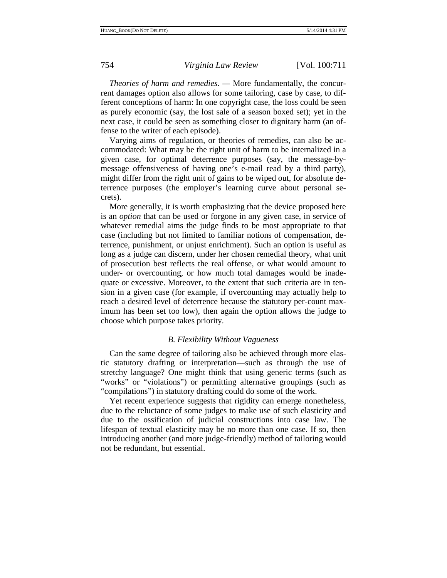*Theories of harm and remedies. —* More fundamentally, the concurrent damages option also allows for some tailoring, case by case, to different conceptions of harm: In one copyright case, the loss could be seen as purely economic (say, the lost sale of a season boxed set); yet in the next case, it could be seen as something closer to dignitary harm (an offense to the writer of each episode).

Varying aims of regulation, or theories of remedies, can also be accommodated: What may be the right unit of harm to be internalized in a given case, for optimal deterrence purposes (say, the message-bymessage offensiveness of having one's e-mail read by a third party), might differ from the right unit of gains to be wiped out, for absolute deterrence purposes (the employer's learning curve about personal secrets).

More generally, it is worth emphasizing that the device proposed here is an *option* that can be used or forgone in any given case, in service of whatever remedial aims the judge finds to be most appropriate to that case (including but not limited to familiar notions of compensation, deterrence, punishment, or unjust enrichment). Such an option is useful as long as a judge can discern, under her chosen remedial theory, what unit of prosecution best reflects the real offense, or what would amount to under- or overcounting, or how much total damages would be inadequate or excessive. Moreover, to the extent that such criteria are in tension in a given case (for example, if overcounting may actually help to reach a desired level of deterrence because the statutory per-count maximum has been set too low), then again the option allows the judge to choose which purpose takes priority.

# *B. Flexibility Without Vagueness*

Can the same degree of tailoring also be achieved through more elastic statutory drafting or interpretation—such as through the use of stretchy language? One might think that using generic terms (such as "works" or "violations") or permitting alternative groupings (such as "compilations") in statutory drafting could do some of the work.

Yet recent experience suggests that rigidity can emerge nonetheless, due to the reluctance of some judges to make use of such elasticity and due to the ossification of judicial constructions into case law. The lifespan of textual elasticity may be no more than one case. If so, then introducing another (and more judge-friendly) method of tailoring would not be redundant, but essential.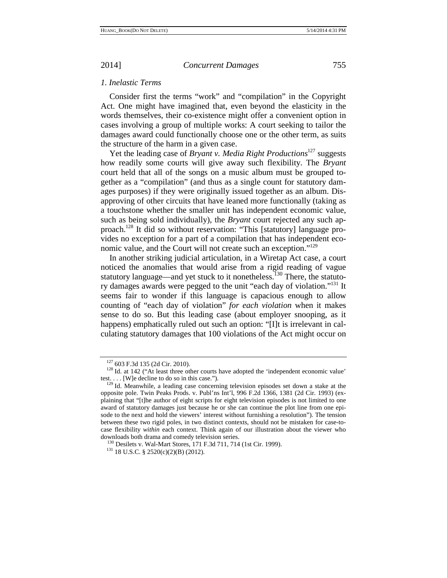*1. Inelastic Terms* 

Consider first the terms "work" and "compilation" in the Copyright Act. One might have imagined that, even beyond the elasticity in the words themselves, their co-existence might offer a convenient option in cases involving a group of multiple works: A court seeking to tailor the damages award could functionally choose one or the other term, as suits the structure of the harm in a given case.

Yet the leading case of *Bryant v. Media Right Productions*<sup>127</sup> suggests how readily some courts will give away such flexibility. The *Bryant* court held that all of the songs on a music album must be grouped together as a "compilation" (and thus as a single count for statutory damages purposes) if they were originally issued together as an album. Disapproving of other circuits that have leaned more functionally (taking as a touchstone whether the smaller unit has independent economic value, such as being sold individually), the *Bryant* court rejected any such approach.128 It did so without reservation: "This [statutory] language provides no exception for a part of a compilation that has independent economic value, and the Court will not create such an exception."129

In another striking judicial articulation, in a Wiretap Act case, a court noticed the anomalies that would arise from a rigid reading of vague statutory language—and yet stuck to it nonetheless.<sup>130</sup> There, the statutory damages awards were pegged to the unit "each day of violation."131 It seems fair to wonder if this language is capacious enough to allow counting of "each day of violation" *for each violation* when it makes sense to do so. But this leading case (about employer snooping, as it happens) emphatically ruled out such an option: "[I]t is irrelevant in calculating statutory damages that 100 violations of the Act might occur on

 $127\,603$  F.3d 135 (2d Cir. 2010).<br><sup>128</sup> Id. at 142 ("At least three other courts have adopted the 'independent economic value' test.  $\ldots$  [W]e decline to do so in this case.").<br><sup>129</sup> Id. Meanwhile, a leading case concerning television episodes set down a stake at the

opposite pole. Twin Peaks Prods. v. Publ'ns Int'l, 996 F.2d 1366, 1381 (2d Cir. 1993) (explaining that "[t]he author of eight scripts for eight television episodes is not limited to one award of statutory damages just because he or she can continue the plot line from one episode to the next and hold the viewers' interest without furnishing a resolution"). The tension between these two rigid poles, in two distinct contexts, should not be mistaken for case-tocase flexibility *within* each context. Think again of our illustration about the viewer who downloads both drama and comedy television series.<br><sup>130</sup> Desilets v. Wal-Mart Stores, 171 F.3d 711, 714 (1st Cir. 1999).<br><sup>131</sup> 18 U.S.C. § 2520(c)(2)(B) (2012).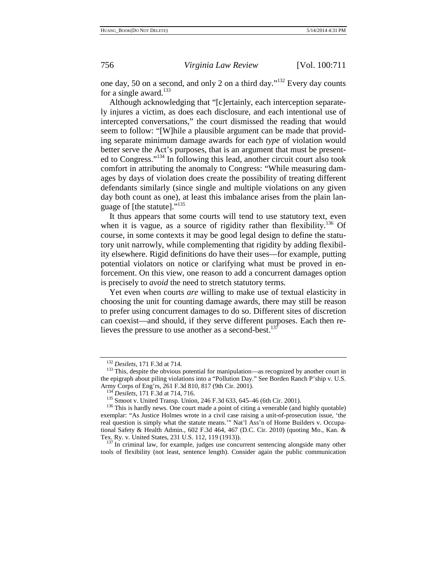one day, 50 on a second, and only 2 on a third day."132 Every day counts for a single award. $133$ 

Although acknowledging that "[c]ertainly, each interception separately injures a victim, as does each disclosure, and each intentional use of intercepted conversations," the court dismissed the reading that would seem to follow: "[W]hile a plausible argument can be made that providing separate minimum damage awards for each *type* of violation would better serve the Act's purposes, that is an argument that must be presented to Congress."134 In following this lead, another circuit court also took comfort in attributing the anomaly to Congress: "While measuring damages by days of violation does create the possibility of treating different defendants similarly (since single and multiple violations on any given day both count as one), at least this imbalance arises from the plain language of [the statute]."135

It thus appears that some courts will tend to use statutory text, even when it is vague, as a source of rigidity rather than flexibility.<sup>136</sup> Of course, in some contexts it may be good legal design to define the statutory unit narrowly, while complementing that rigidity by adding flexibility elsewhere. Rigid definitions do have their uses—for example, putting potential violators on notice or clarifying what must be proved in enforcement. On this view, one reason to add a concurrent damages option is precisely to *avoid* the need to stretch statutory terms.

Yet even when courts *are* willing to make use of textual elasticity in choosing the unit for counting damage awards, there may still be reason to prefer using concurrent damages to do so. Different sites of discretion can coexist—and should, if they serve different purposes. Each then relieves the pressure to use another as a second-best.<sup>137</sup>

<sup>&</sup>lt;sup>132</sup> *Desilets*, 171 F.3d at 714.<br><sup>133</sup> This, despite the obvious potential for manipulation—as recognized by another court in the epigraph about piling violations into a "Pollution Day." See Borden Ranch P'ship v. U.S.<br>Army Corps of Eng'rs, 261 F.3d 810, 817 (9th Cir. 2001).

 $^{134}$  *Desilets*, 171 F.3d at 714, 716.<br> $^{135}$  Smoot v. United Transp. Union, 246 F.3d 633, 645–46 (6th Cir. 2001).<br> $^{136}$  This is hardly news. One court made a point of citing a venerable (and highly quotable) exemplar: "As Justice Holmes wrote in a civil case raising a unit-of-prosecution issue, 'the real question is simply what the statute means.'" Nat'l Ass'n of Home Builders v. Occupational Safety & Health Admin., 602 F.3d 464, 467 (D.C. Cir. 2010) (quoting Mo., Kan. & Tex. Ry. v. United States, 231 U.S. 112, 119 (1913)).<br><sup>137</sup> In criminal law, for example, judges use concurrent sentencing alongside many other

tools of flexibility (not least, sentence length). Consider again the public communication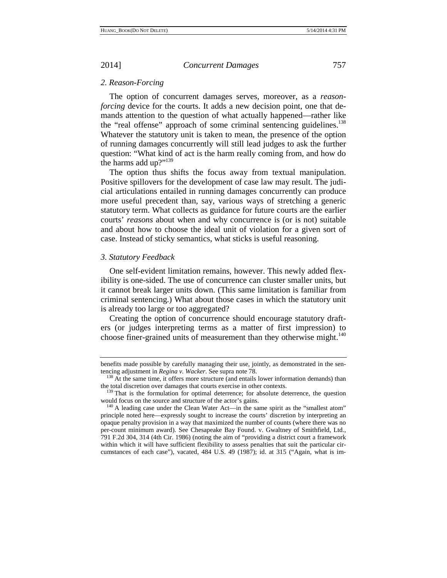### *2. Reason-Forcing*

The option of concurrent damages serves, moreover, as a *reasonforcing* device for the courts. It adds a new decision point, one that demands attention to the question of what actually happened—rather like the "real offense" approach of some criminal sentencing guidelines.<sup>138</sup> Whatever the statutory unit is taken to mean, the presence of the option of running damages concurrently will still lead judges to ask the further question: "What kind of act is the harm really coming from, and how do the harms add up?"<sup>139</sup>

The option thus shifts the focus away from textual manipulation. Positive spillovers for the development of case law may result. The judicial articulations entailed in running damages concurrently can produce more useful precedent than, say, various ways of stretching a generic statutory term. What collects as guidance for future courts are the earlier courts' *reasons* about when and why concurrence is (or is not) suitable and about how to choose the ideal unit of violation for a given sort of case. Instead of sticky semantics, what sticks is useful reasoning.

# *3. Statutory Feedback*

One self-evident limitation remains, however. This newly added flexibility is one-sided. The use of concurrence can cluster smaller units, but it cannot break larger units down. (This same limitation is familiar from criminal sentencing.) What about those cases in which the statutory unit is already too large or too aggregated?

Creating the option of concurrence should encourage statutory drafters (or judges interpreting terms as a matter of first impression) to choose finer-grained units of measurement than they otherwise might. $140$ 

benefits made possible by carefully managing their use, jointly, as demonstrated in the sentencing adjustment in *Regina v. Wacker*. See supra note 78.<br><sup>138</sup> At the same time, it offers more structure (and entails lower information demands) than

the total discretion over damages that courts exercise in other contexts.<br><sup>139</sup> That is the formulation for optimal deterrence; for absolute deterrence, the question<br>would focus on the source and structure of the actor's g

 $140$  A leading case under the Clean Water Act—in the same spirit as the "smallest atom" principle noted here—expressly sought to increase the courts' discretion by interpreting an opaque penalty provision in a way that maximized the number of counts (where there was no per-count minimum award). See Chesapeake Bay Found. v. Gwaltney of Smithfield, Ltd., 791 F.2d 304, 314 (4th Cir. 1986) (noting the aim of "providing a district court a framework within which it will have sufficient flexibility to assess penalties that suit the particular circumstances of each case"), vacated, 484 U.S. 49 (1987); id. at 315 ("Again, what is im-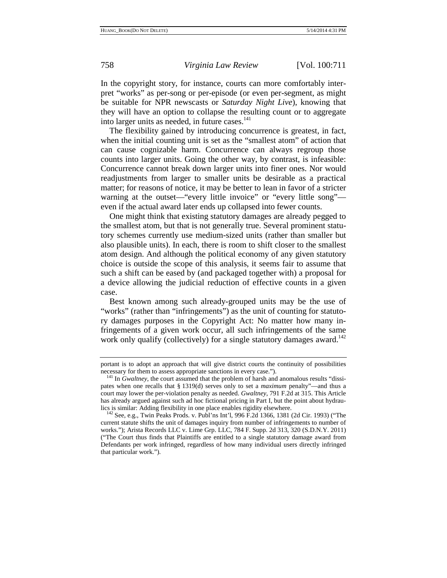In the copyright story, for instance, courts can more comfortably interpret "works" as per-song or per-episode (or even per-segment, as might be suitable for NPR newscasts or *Saturday Night Live*), knowing that they will have an option to collapse the resulting count or to aggregate into larger units as needed, in future cases. $141$ 

The flexibility gained by introducing concurrence is greatest, in fact, when the initial counting unit is set as the "smallest atom" of action that can cause cognizable harm. Concurrence can always regroup those counts into larger units. Going the other way, by contrast, is infeasible: Concurrence cannot break down larger units into finer ones. Nor would readjustments from larger to smaller units be desirable as a practical matter; for reasons of notice, it may be better to lean in favor of a stricter warning at the outset—"every little invoice" or "every little song" even if the actual award later ends up collapsed into fewer counts.

One might think that existing statutory damages are already pegged to the smallest atom, but that is not generally true. Several prominent statutory schemes currently use medium-sized units (rather than smaller but also plausible units). In each, there is room to shift closer to the smallest atom design. And although the political economy of any given statutory choice is outside the scope of this analysis, it seems fair to assume that such a shift can be eased by (and packaged together with) a proposal for a device allowing the judicial reduction of effective counts in a given case.

Best known among such already-grouped units may be the use of "works" (rather than "infringements") as the unit of counting for statutory damages purposes in the Copyright Act: No matter how many infringements of a given work occur, all such infringements of the same work only qualify (collectively) for a single statutory damages award.<sup>142</sup>

portant is to adopt an approach that will give district courts the continuity of possibilities necessary for them to assess appropriate sanctions in every case.").<br><sup>141</sup> In *Gwaltney*, the court assumed that the problem of harsh and anomalous results "dissi-

pates when one recalls that § 1319(d) serves only to set a *maximum* penalty"—and thus a court may lower the per-violation penalty as needed. *Gwaltney*, 791 F.2d at 315. This Article has already argued against such ad hoc fictional pricing in Part I, but the point about hydraulics is similar: Adding flexibility in one place enables rigidity elsewhere.<br><sup>142</sup> See, e.g., Twin Peaks Prods. v. Publ'ns Int'l, 996 F.2d 1366, 1381 (2d Cir. 1993) ("The

current statute shifts the unit of damages inquiry from number of infringements to number of works."); Arista Records LLC v. Lime Grp. LLC, 784 F. Supp. 2d 313, 320 (S.D.N.Y. 2011) ("The Court thus finds that Plaintiffs are entitled to a single statutory damage award from Defendants per work infringed, regardless of how many individual users directly infringed that particular work.").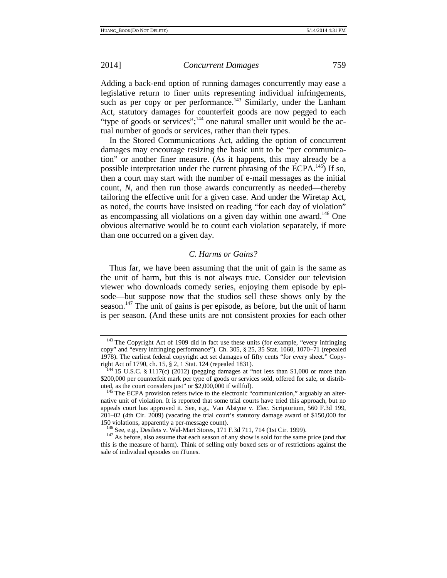Adding a back-end option of running damages concurrently may ease a legislative return to finer units representing individual infringements, such as per copy or per performance.<sup>143</sup> Similarly, under the Lanham Act, statutory damages for counterfeit goods are now pegged to each "type of goods or services";<sup>144</sup> one natural smaller unit would be the actual number of goods or services, rather than their types.

In the Stored Communications Act, adding the option of concurrent damages may encourage resizing the basic unit to be "per communication" or another finer measure. (As it happens, this may already be a possible interpretation under the current phrasing of the  $ECPA$ <sup>145</sup>) If so, then a court may start with the number of e-mail messages as the initial count, *N*, and then run those awards concurrently as needed—thereby tailoring the effective unit for a given case. And under the Wiretap Act, as noted, the courts have insisted on reading "for each day of violation" as encompassing all violations on a given day within one award.<sup>146</sup> One obvious alternative would be to count each violation separately, if more than one occurred on a given day.

# *C. Harms or Gains?*

Thus far, we have been assuming that the unit of gain is the same as the unit of harm, but this is not always true. Consider our television viewer who downloads comedy series, enjoying them episode by episode—but suppose now that the studios sell these shows only by the season.<sup>147</sup> The unit of gains is per episode, as before, but the unit of harm is per season. (And these units are not consistent proxies for each other

 $143$  The Copyright Act of 1909 did in fact use these units (for example, "every infringing copy" and "every infringing performance"). Ch. 305, § 25, 35 Stat. 1060, 1070–71 (repealed 1978). The earliest federal copyright act set damages of fifty cents "for every sheet." Copyright Act of 1790, ch. 15, § 2, 1 Stat. 124 (repealed 1831).<br><sup>144</sup> 15 U.S.C. § 1117(c) (2012) (pegging damages at "not less than \$1,000 or more than

<sup>\$200,000</sup> per counterfeit mark per type of goods or services sold, offered for sale, or distributed, as the court considers just" or \$2,000,000 if willful).

The ECPA provision refers twice to the electronic "communication," arguably an alternative unit of violation. It is reported that some trial courts have tried this approach, but no appeals court has approved it. See, e.g., Van Alstyne v. Elec. Scriptorium, 560 F.3d 199, 201–02 (4th Cir. 2009) (vacating the trial court's statutory damage award of \$150,000 for

<sup>&</sup>lt;sup>146</sup> See, e.g., Desilets v. Wal-Mart Stores, 171 F.3d 711, 714 (1st Cir. 1999). <sup>147</sup> As before, also assume that each season of any show is sold for the same price (and that this is the measure of harm). Think of selling only boxed sets or of restrictions against the sale of individual episodes on iTunes.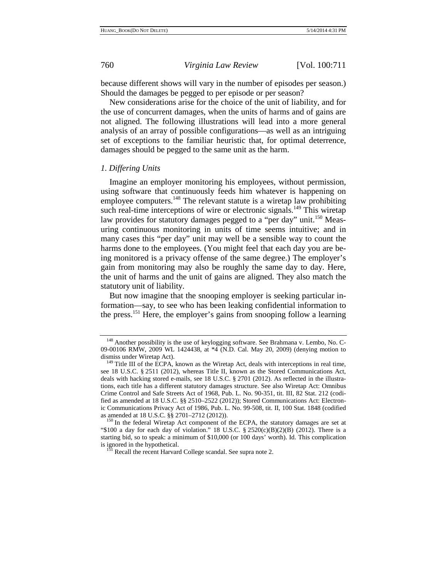because different shows will vary in the number of episodes per season.) Should the damages be pegged to per episode or per season?

New considerations arise for the choice of the unit of liability, and for the use of concurrent damages, when the units of harms and of gains are not aligned. The following illustrations will lead into a more general analysis of an array of possible configurations—as well as an intriguing set of exceptions to the familiar heuristic that, for optimal deterrence, damages should be pegged to the same unit as the harm.

### *1. Differing Units*

Imagine an employer monitoring his employees, without permission, using software that continuously feeds him whatever is happening on employee computers.<sup>148</sup> The relevant statute is a wiretap law prohibiting such real-time interceptions of wire or electronic signals.<sup>149</sup> This wiretap law provides for statutory damages pegged to a "per day" unit.<sup>150</sup> Measuring continuous monitoring in units of time seems intuitive; and in many cases this "per day" unit may well be a sensible way to count the harms done to the employees. (You might feel that each day you are being monitored is a privacy offense of the same degree.) The employer's gain from monitoring may also be roughly the same day to day. Here, the unit of harms and the unit of gains are aligned. They also match the statutory unit of liability.

But now imagine that the snooping employer is seeking particular information—say, to see who has been leaking confidential information to the press.151 Here, the employer's gains from snooping follow a learning

<sup>&</sup>lt;sup>148</sup> Another possibility is the use of keylogging software. See Brahmana v. Lembo, No. C-09-00106 RMW, 2009 WL 1424438, at  $*4$  (N.D. Cal. May 20, 2009) (denying motion to dismiss under Wiretap Act).

 $149$  Title III of the ECPA, known as the Wiretap Act, deals with interceptions in real time, see 18 U.S.C. § 2511 (2012), whereas Title II, known as the Stored Communications Act, deals with hacking stored e-mails, see 18 U.S.C. § 2701 (2012). As reflected in the illustrations, each title has a different statutory damages structure. See also Wiretap Act: Omnibus Crime Control and Safe Streets Act of 1968, Pub. L. No. 90-351, tit. III, 82 Stat. 212 (codified as amended at 18 U.S.C. §§ 2510–2522 (2012)); Stored Communications Act: Electronic Communications Privacy Act of 1986, Pub. L. No. 99-508, tit. II, 100 Stat. 1848 (codified as amended at 18 U.S.C.  $\S$  2701–2712 (2012)).<br><sup>150</sup> In the federal Wiretap Act component of the ECPA, the statutory damages are set at

<sup>&</sup>quot;\$100 a day for each day of violation." 18 U.S.C.  $\S 2520(c)(B)(2)(B)$  (2012). There is a starting bid, so to speak: a minimum of \$10,000 (or 100 days' worth). Id. This complication

<sup>&</sup>lt;sup>151</sup> Recall the recent Harvard College scandal. See supra note 2.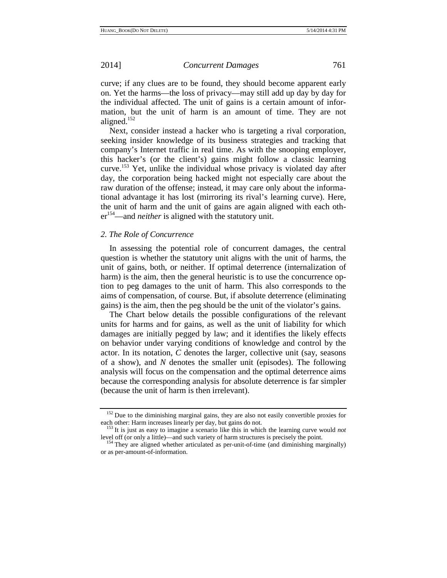curve; if any clues are to be found, they should become apparent early on. Yet the harms—the loss of privacy—may still add up day by day for the individual affected. The unit of gains is a certain amount of information, but the unit of harm is an amount of time. They are not aligned.152

Next, consider instead a hacker who is targeting a rival corporation, seeking insider knowledge of its business strategies and tracking that company's Internet traffic in real time. As with the snooping employer, this hacker's (or the client's) gains might follow a classic learning curve.<sup>153</sup> Yet, unlike the individual whose privacy is violated day after day, the corporation being hacked might not especially care about the raw duration of the offense; instead, it may care only about the informational advantage it has lost (mirroring its rival's learning curve). Here, the unit of harm and the unit of gains are again aligned with each other<sup>154</sup>—and *neither* is aligned with the statutory unit.

### *2. The Role of Concurrence*

In assessing the potential role of concurrent damages, the central question is whether the statutory unit aligns with the unit of harms, the unit of gains, both, or neither. If optimal deterrence (internalization of harm) is the aim, then the general heuristic is to use the concurrence option to peg damages to the unit of harm. This also corresponds to the aims of compensation, of course. But, if absolute deterrence (eliminating gains) is the aim, then the peg should be the unit of the violator's gains.

The Chart below details the possible configurations of the relevant units for harms and for gains, as well as the unit of liability for which damages are initially pegged by law; and it identifies the likely effects on behavior under varying conditions of knowledge and control by the actor. In its notation, *C* denotes the larger, collective unit (say, seasons of a show), and *N* denotes the smaller unit (episodes). The following analysis will focus on the compensation and the optimal deterrence aims because the corresponding analysis for absolute deterrence is far simpler (because the unit of harm is then irrelevant).

<sup>&</sup>lt;sup>152</sup> Due to the diminishing marginal gains, they are also not easily convertible proxies for each other: Harm increases linearly per day, but gains do not.<br><sup>153</sup> It is just as easy to imagine a scenario like this in which the learning curve would *not* 

level off (or only a little)—and such variety of harm structures is precisely the point.<br><sup>154</sup> They are aligned whether articulated as per-unit-of-time (and diminishing marginally)

or as per-amount-of-information.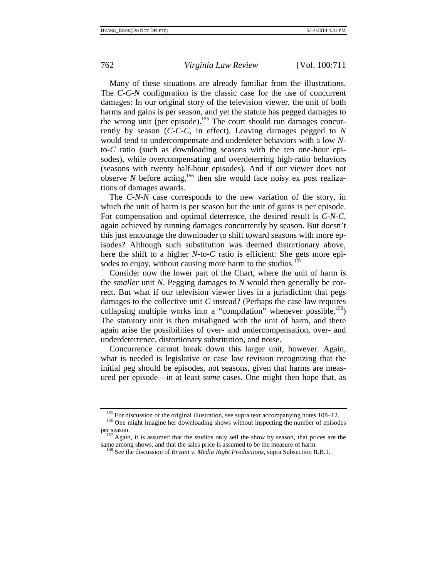Many of these situations are already familiar from the illustrations. The *C*-*C*-*N* configuration is the classic case for the use of concurrent damages: In our original story of the television viewer, the unit of both harms and gains is per season, and yet the statute has pegged damages to the wrong unit (per episode).<sup>155</sup> The court should run damages concurrently by season (*C*-*C*-*C*, in effect). Leaving damages pegged to *N* would tend to undercompensate and underdeter behaviors with a low *N*to-*C* ratio (such as downloading seasons with the ten one-hour episodes), while overcompensating and overdeterring high-ratio behaviors (seasons with twenty half-hour episodes). And if our viewer does not observe *N* before acting,<sup>156</sup> then she would face noisy ex post realizations of damages awards.

The *C*-*N*-*N* case corresponds to the new variation of the story, in which the unit of harm is per season but the unit of gains is per episode. For compensation and optimal deterrence, the desired result is *C*-*N*-*C*, again achieved by running damages concurrently by season. But doesn't this just encourage the downloader to shift toward seasons with more episodes? Although such substitution was deemed distortionary above, here the shift to a higher *N*-to-*C* ratio is efficient: She gets more episodes to enjoy, without causing more harm to the studios.<sup>157</sup>

Consider now the lower part of the Chart, where the unit of harm is the *smaller* unit *N*. Pegging damages to *N* would then generally be correct. But what if our television viewer lives in a jurisdiction that pegs damages to the collective unit *C* instead? (Perhaps the case law requires collapsing multiple works into a "compilation" whenever possible.<sup>158</sup>) The statutory unit is then misaligned with the unit of harm, and there again arise the possibilities of over- and undercompensation, over- and underdeterrence, distortionary substitution, and noise.

Concurrence cannot break down this larger unit, however. Again, what is needed is legislative or case law revision recognizing that the initial peg should be episodes, not seasons, given that harms are measured per episode—in at least *some* cases. One might then hope that, as

<sup>&</sup>lt;sup>155</sup> For discussion of the original illustration, see supra text accompanying notes  $108-12$ .<br><sup>156</sup> One might imagine her downloading shows without inspecting the number of episodes per season.<br><sup>157</sup> Again, it is assumed that the studios only sell the show by season, that prices are the

same among shows, and that the sales price is assumed to be the measure of harm.<br><sup>158</sup> See the discussion of *Bryant v. Media Right Productions*, supra Subsection II.B.1.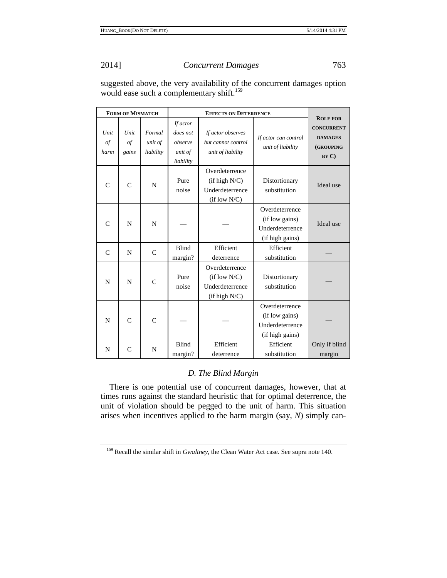suggested above, the very availability of the concurrent damages option would ease such a complementary shift.<sup>159</sup>

|                           | <b>FORM OF MISMATCH</b>     |                                |                                                         |                                                                     |                                                                        |                                                                             |  |
|---------------------------|-----------------------------|--------------------------------|---------------------------------------------------------|---------------------------------------------------------------------|------------------------------------------------------------------------|-----------------------------------------------------------------------------|--|
| Unit<br>$\circ f$<br>harm | Unit<br>$\sigma f$<br>gains | Formal<br>unit of<br>liability | If actor<br>does not<br>observe<br>unit of<br>liability | If actor observes<br>but cannot control<br>unit of liability        | If actor can control<br>unit of liability                              | <b>ROLE FOR</b><br><b>CONCURRENT</b><br><b>DAMAGES</b><br>(GROUPING<br>BYC) |  |
| $\mathsf{C}$              | $\mathsf{C}$                | N                              | Pure<br>noise                                           | Overdeterrence<br>(if high N/C)<br>Underdeterrence<br>(if low N/C)  | Distortionary<br>substitution                                          | Ideal use                                                                   |  |
| $\mathcal{C}$             | N                           | N                              |                                                         |                                                                     | Overdeterrence<br>(if low gains)<br>Underdeterrence<br>(if high gains) | Ideal use                                                                   |  |
| $\mathcal{C}$             | N                           | $\mathcal{C}$                  | Blind<br>margin?                                        | Efficient<br>deterrence                                             | Efficient<br>substitution                                              |                                                                             |  |
| N                         | N                           | $\mathcal{C}$                  | Pure<br>noise                                           | Overdeterrence<br>(if low N/C)<br>Underdeterrence<br>(i f high N/C) | Distortionary<br>substitution                                          |                                                                             |  |
| N                         | $\mathsf{C}$                | $\mathcal{C}$                  |                                                         |                                                                     | Overdeterrence<br>(if low gains)<br>Underdeterrence<br>(if high gains) |                                                                             |  |
| N                         | $\mathcal{C}$               | N                              | <b>Blind</b><br>margin?                                 | Efficient<br>deterrence                                             | Efficient<br>substitution                                              | Only if blind<br>margin                                                     |  |

# *D. The Blind Margin*

There is one potential use of concurrent damages, however, that at times runs against the standard heuristic that for optimal deterrence, the unit of violation should be pegged to the unit of harm. This situation arises when incentives applied to the harm margin (say, *N*) simply can-

<sup>159</sup> Recall the similar shift in *Gwaltney*, the Clean Water Act case. See supra note 140.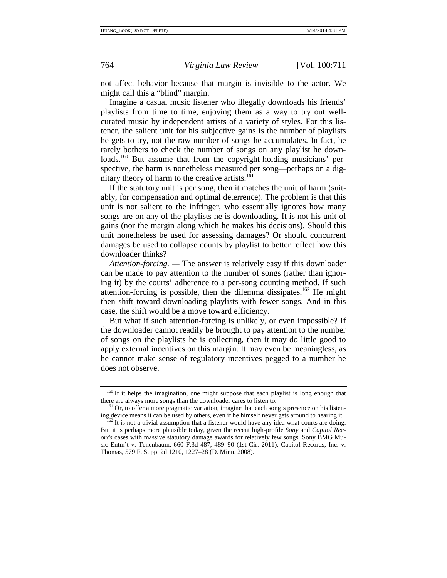not affect behavior because that margin is invisible to the actor. We might call this a "blind" margin.

Imagine a casual music listener who illegally downloads his friends' playlists from time to time, enjoying them as a way to try out wellcurated music by independent artists of a variety of styles. For this listener, the salient unit for his subjective gains is the number of playlists he gets to try, not the raw number of songs he accumulates. In fact, he rarely bothers to check the number of songs on any playlist he downloads.<sup>160</sup> But assume that from the copyright-holding musicians' perspective, the harm is nonetheless measured per song—perhaps on a dignitary theory of harm to the creative artists.<sup>161</sup>

If the statutory unit is per song, then it matches the unit of harm (suitably, for compensation and optimal deterrence). The problem is that this unit is not salient to the infringer, who essentially ignores how many songs are on any of the playlists he is downloading. It is not his unit of gains (nor the margin along which he makes his decisions). Should this unit nonetheless be used for assessing damages? Or should concurrent damages be used to collapse counts by playlist to better reflect how this downloader thinks?

*Attention-forcing. —* The answer is relatively easy if this downloader can be made to pay attention to the number of songs (rather than ignoring it) by the courts' adherence to a per-song counting method. If such attention-forcing is possible, then the dilemma dissipates.<sup>162</sup> He might then shift toward downloading playlists with fewer songs. And in this case, the shift would be a move toward efficiency.

But what if such attention-forcing is unlikely, or even impossible? If the downloader cannot readily be brought to pay attention to the number of songs on the playlists he is collecting, then it may do little good to apply external incentives on this margin. It may even be meaningless, as he cannot make sense of regulatory incentives pegged to a number he does not observe.

 $160$  If it helps the imagination, one might suppose that each playlist is long enough that there are always more songs than the downloader cares to listen to.

 $161$  Or, to offer a more pragmatic variation, imagine that each song's presence on his listening device means it can be used by others, even if he himself never gets around to hearing it. <sup>162</sup> It is not a trivial assumption that a listener would have any idea what courts are doing.

But it is perhaps more plausible today, given the recent high-profile *Sony* and *Capitol Records* cases with massive statutory damage awards for relatively few songs. Sony BMG Music Entm't v. Tenenbaum, 660 F.3d 487, 489–90 (1st Cir. 2011); Capitol Records, Inc. v. Thomas, 579 F. Supp. 2d 1210, 1227–28 (D. Minn. 2008).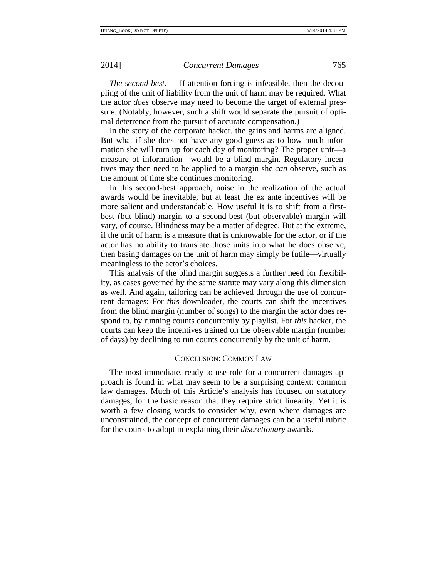*The second-best. —* If attention-forcing is infeasible, then the decoupling of the unit of liability from the unit of harm may be required. What the actor *does* observe may need to become the target of external pressure. (Notably, however, such a shift would separate the pursuit of optimal deterrence from the pursuit of accurate compensation.)

In the story of the corporate hacker, the gains and harms are aligned. But what if she does not have any good guess as to how much information she will turn up for each day of monitoring? The proper unit—a measure of information—would be a blind margin. Regulatory incentives may then need to be applied to a margin she *can* observe, such as the amount of time she continues monitoring.

In this second-best approach, noise in the realization of the actual awards would be inevitable, but at least the ex ante incentives will be more salient and understandable. How useful it is to shift from a firstbest (but blind) margin to a second-best (but observable) margin will vary, of course. Blindness may be a matter of degree. But at the extreme, if the unit of harm is a measure that is unknowable for the actor, or if the actor has no ability to translate those units into what he does observe, then basing damages on the unit of harm may simply be futile—virtually meaningless to the actor's choices.

This analysis of the blind margin suggests a further need for flexibility, as cases governed by the same statute may vary along this dimension as well. And again, tailoring can be achieved through the use of concurrent damages: For *this* downloader, the courts can shift the incentives from the blind margin (number of songs) to the margin the actor does respond to, by running counts concurrently by playlist. For *this* hacker, the courts can keep the incentives trained on the observable margin (number of days) by declining to run counts concurrently by the unit of harm.

### CONCLUSION: COMMON LAW

The most immediate, ready-to-use role for a concurrent damages approach is found in what may seem to be a surprising context: common law damages. Much of this Article's analysis has focused on statutory damages, for the basic reason that they require strict linearity. Yet it is worth a few closing words to consider why, even where damages are unconstrained, the concept of concurrent damages can be a useful rubric for the courts to adopt in explaining their *discretionary* awards.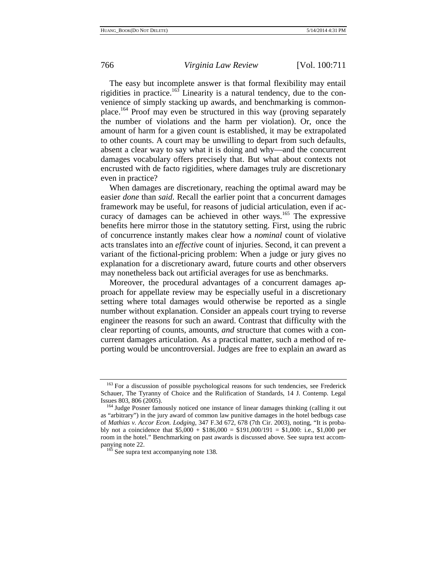The easy but incomplete answer is that formal flexibility may entail rigidities in practice.<sup>163</sup> Linearity is a natural tendency, due to the convenience of simply stacking up awards, and benchmarking is commonplace.164 Proof may even be structured in this way (proving separately the number of violations and the harm per violation). Or, once the amount of harm for a given count is established, it may be extrapolated to other counts. A court may be unwilling to depart from such defaults, absent a clear way to say what it is doing and why—and the concurrent damages vocabulary offers precisely that. But what about contexts not encrusted with de facto rigidities, where damages truly are discretionary even in practice?

When damages are discretionary, reaching the optimal award may be easier *done* than *said*. Recall the earlier point that a concurrent damages framework may be useful, for reasons of judicial articulation, even if accuracy of damages can be achieved in other ways.<sup>165</sup> The expressive benefits here mirror those in the statutory setting. First, using the rubric of concurrence instantly makes clear how a *nominal* count of violative acts translates into an *effective* count of injuries. Second, it can prevent a variant of the fictional-pricing problem: When a judge or jury gives no explanation for a discretionary award, future courts and other observers may nonetheless back out artificial averages for use as benchmarks.

Moreover, the procedural advantages of a concurrent damages approach for appellate review may be especially useful in a discretionary setting where total damages would otherwise be reported as a single number without explanation. Consider an appeals court trying to reverse engineer the reasons for such an award. Contrast that difficulty with the clear reporting of counts, amounts, *and* structure that comes with a concurrent damages articulation. As a practical matter, such a method of reporting would be uncontroversial. Judges are free to explain an award as

<sup>&</sup>lt;sup>163</sup> For a discussion of possible psychological reasons for such tendencies, see Frederick Schauer, The Tyranny of Choice and the Rulification of Standards, 14 J. Contemp. Legal

<sup>&</sup>lt;sup>164</sup> Judge Posner famously noticed one instance of linear damages thinking (calling it out as "arbitrary") in the jury award of common law punitive damages in the hotel bedbugs case of *Mathias v. Accor Econ. Lodging*, 347 F.3d 672, 678 (7th Cir. 2003), noting, "It is probably not a coincidence that  $$5,000 + $186,000 = $191,000/191 = $1,000$ : i.e., \$1,000 per room in the hotel." Benchmarking on past awards is discussed above. See supra text accompanying note 22.<br><sup>165</sup> See supra text accompanying note 138.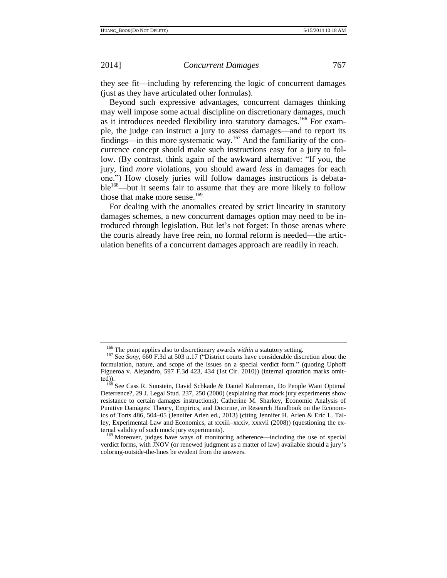they see fit—including by referencing the logic of concurrent damages (just as they have articulated other formulas).

Beyond such expressive advantages, concurrent damages thinking may well impose some actual discipline on discretionary damages, much as it introduces needed flexibility into statutory damages.<sup>166</sup> For example, the judge can instruct a jury to assess damages—and to report its findings—in this more systematic way.<sup>167</sup> And the familiarity of the concurrence concept should make such instructions easy for a jury to follow. (By contrast, think again of the awkward alternative: "If you, the jury, find *more* violations, you should award *less* in damages for each one.") How closely juries will follow damages instructions is debata $ble^{168}$ —but it seems fair to assume that they are more likely to follow those that make more sense.<sup>169</sup>

For dealing with the anomalies created by strict linearity in statutory damages schemes, a new concurrent damages option may need to be introduced through legislation. But let's not forget: In those arenas where the courts already have free rein, no formal reform is needed—the articulation benefits of a concurrent damages approach are readily in reach.

<sup>166</sup> The point applies also to discretionary awards *within* a statutory setting.

<sup>167</sup> See *Sony*, 660 F.3d at 503 n.17 ("District courts have considerable discretion about the formulation, nature, and scope of the issues on a special verdict form." (quoting Uphoff Figueroa v. Alejandro, 597 F.3d 423, 434 (1st Cir. 2010)) (internal quotation marks omitted)).

<sup>&</sup>lt;sup>168</sup> See Cass R. Sunstein, David Schkade & Daniel Kahneman, Do People Want Optimal Deterrence?, 29 J. Legal Stud. 237, 250 (2000) (explaining that mock jury experiments show resistance to certain damages instructions); Catherine M. Sharkey, Economic Analysis of Punitive Damages: Theory, Empirics, and Doctrine, *in* Research Handbook on the Economics of Torts 486, 504–05 (Jennifer Arlen ed., 2013) (citing Jennifer H. Arlen & Eric L. Talley, Experimental Law and Economics, at xxxiii–xxxiv, xxxvii (2008)) (questioning the external validity of such mock jury experiments).

<sup>&</sup>lt;sup>169</sup> Moreover, judges have ways of monitoring adherence—including the use of special verdict forms, with JNOV (or renewed judgment as a matter of law) available should a jury's coloring-outside-the-lines be evident from the answers.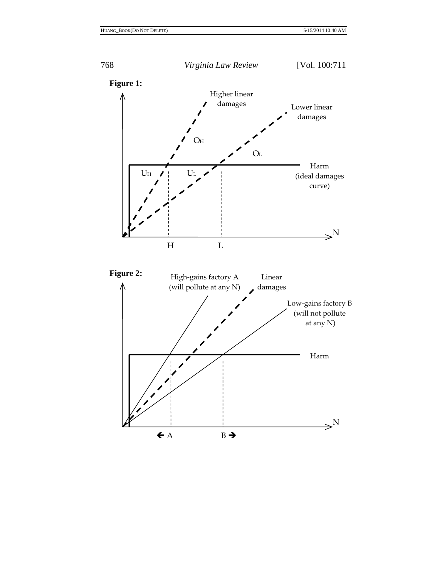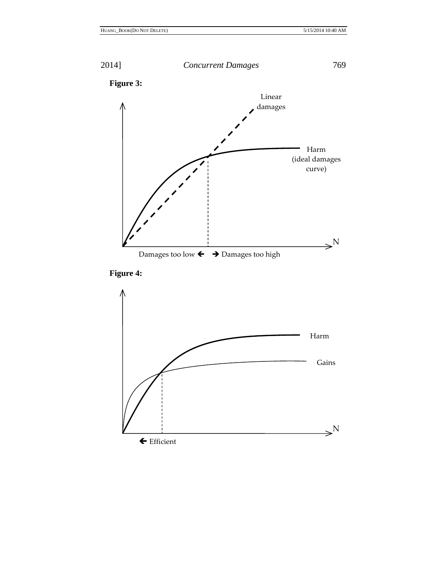